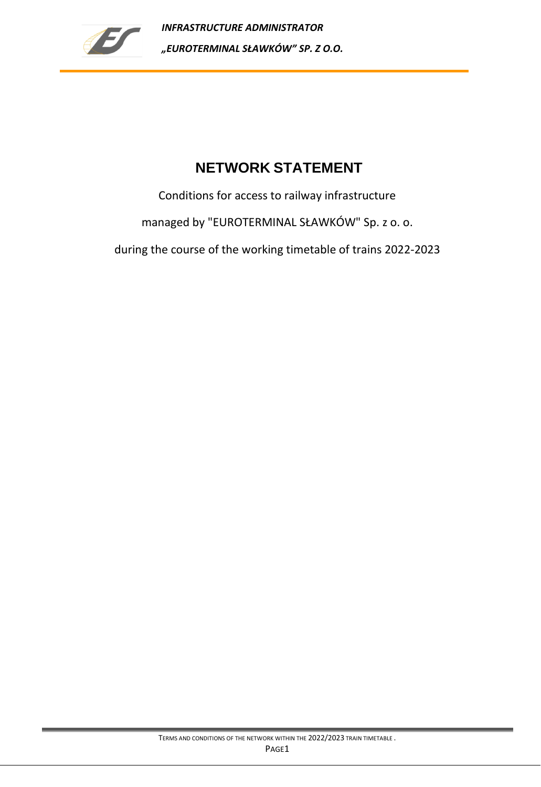

# **NETWORK STATEMENT**

Conditions for access to railway infrastructure

managed by "EUROTERMINAL SŁAWKÓW" Sp. z o. o.

during the course of the working timetable of trains 2022-2023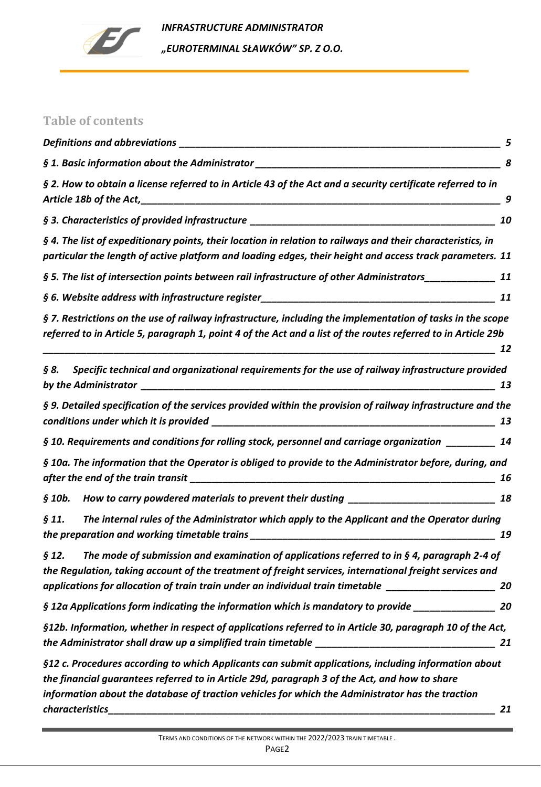

*INFRASTRUCTURE ADMINISTRATOR "EUROTERMINAL SŁAWKÓW" SP. Z O.O.* 

## **Table of contents**

|                                                                                                                                                                                                                                                                                                                              | 8  |
|------------------------------------------------------------------------------------------------------------------------------------------------------------------------------------------------------------------------------------------------------------------------------------------------------------------------------|----|
| § 2. How to obtain a license referred to in Article 43 of the Act and a security certificate referred to in                                                                                                                                                                                                                  | 9  |
|                                                                                                                                                                                                                                                                                                                              | 10 |
| § 4. The list of expeditionary points, their location in relation to railways and their characteristics, in<br>particular the length of active platform and loading edges, their height and access track parameters. 11                                                                                                      |    |
| § 5. The list of intersection points between rail infrastructure of other Administrators____________                                                                                                                                                                                                                         | 11 |
|                                                                                                                                                                                                                                                                                                                              | 11 |
| § 7. Restrictions on the use of railway infrastructure, including the implementation of tasks in the scope<br>referred to in Article 5, paragraph 1, point 4 of the Act and a list of the routes referred to in Article 29b                                                                                                  | 12 |
| Specific technical and organizational requirements for the use of railway infrastructure provided<br>§ 8.                                                                                                                                                                                                                    | 13 |
| § 9. Detailed specification of the services provided within the provision of railway infrastructure and the                                                                                                                                                                                                                  | 13 |
| § 10. Requirements and conditions for rolling stock, personnel and carriage organization _________                                                                                                                                                                                                                           | 14 |
| § 10a. The information that the Operator is obliged to provide to the Administrator before, during, and                                                                                                                                                                                                                      | 16 |
| How to carry powdered materials to prevent their dusting _______________________<br>§ 10b.                                                                                                                                                                                                                                   | 18 |
| The internal rules of the Administrator which apply to the Applicant and the Operator during<br>$\S 11.$<br>the preparation and working timetable trains                                                                                                                                                                     | 19 |
| The mode of submission and examination of applications referred to in § 4, paragraph 2-4 of<br>§ 12.<br>the Regulation, taking account of the treatment of freight services, international freight services and<br>applications for allocation of train train under an individual train timetable ____________________       | 20 |
| § 12a Applications form indicating the information which is mandatory to provide                                                                                                                                                                                                                                             | 20 |
| §12b. Information, whether in respect of applications referred to in Article 30, paragraph 10 of the Act,                                                                                                                                                                                                                    | 21 |
| §12 c. Procedures according to which Applicants can submit applications, including information about<br>the financial guarantees referred to in Article 29d, paragraph 3 of the Act, and how to share<br>information about the database of traction vehicles for which the Administrator has the traction<br>characteristics | 21 |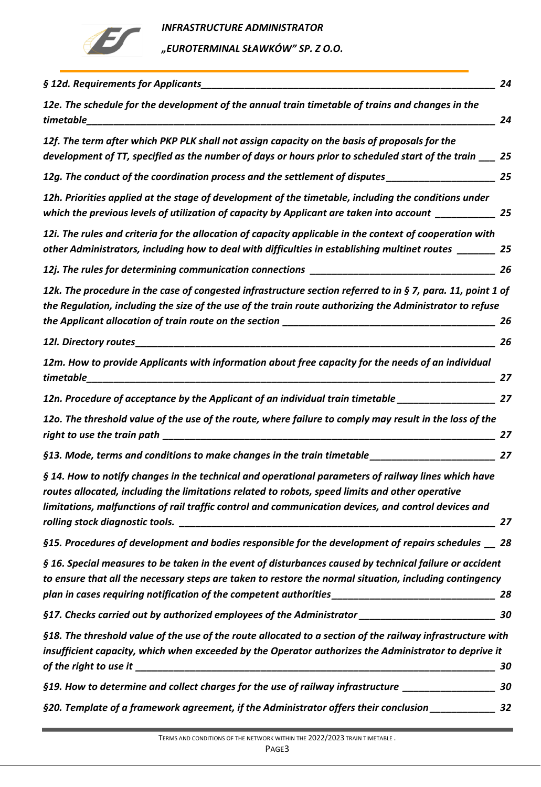

| § 12d. Requirements for Applicants<br>24                                                                                                                                                                                                                                                                             |
|----------------------------------------------------------------------------------------------------------------------------------------------------------------------------------------------------------------------------------------------------------------------------------------------------------------------|
| 12e. The schedule for the development of the annual train timetable of trains and changes in the<br>timetable<br>24                                                                                                                                                                                                  |
| 12f. The term after which PKP PLK shall not assign capacity on the basis of proposals for the<br>development of TT, specified as the number of days or hours prior to scheduled start of the train ___<br>25                                                                                                         |
| 12g. The conduct of the coordination process and the settlement of disputes________________________<br>25                                                                                                                                                                                                            |
| 12h. Priorities applied at the stage of development of the timetable, including the conditions under<br>which the previous levels of utilization of capacity by Applicant are taken into account ______________ 25                                                                                                   |
| 12i. The rules and criteria for the allocation of capacity applicable in the context of cooperation with<br>other Administrators, including how to deal with difficulties in establishing multinet routes _______ 25                                                                                                 |
| 26                                                                                                                                                                                                                                                                                                                   |
| 12k. The procedure in the case of congested infrastructure section referred to in § 7, para. 11, point 1 of<br>the Regulation, including the size of the use of the train route authorizing the Administrator to refuse<br>26                                                                                        |
| 26                                                                                                                                                                                                                                                                                                                   |
| 12m. How to provide Applicants with information about free capacity for the needs of an individual<br>timetable<br>27                                                                                                                                                                                                |
| 12n. Procedure of acceptance by the Applicant of an individual train timetable ____________________<br>27                                                                                                                                                                                                            |
| 12o. The threshold value of the use of the route, where failure to comply may result in the loss of the<br>27                                                                                                                                                                                                        |
| §13. Mode, terms and conditions to make changes in the train timetable_____________________________<br>27                                                                                                                                                                                                            |
| § 14. How to notify changes in the technical and operational parameters of railway lines which have<br>routes allocated, including the limitations related to robots, speed limits and other operative<br>limitations, malfunctions of rail traffic control and communication devices, and control devices and<br>27 |
| §15. Procedures of development and bodies responsible for the development of repairs schedules __ 28                                                                                                                                                                                                                 |
| § 16. Special measures to be taken in the event of disturbances caused by technical failure or accident<br>to ensure that all the necessary steps are taken to restore the normal situation, including contingency<br>28                                                                                             |
| §17. Checks carried out by authorized employees of the Administrator ______________________________<br>30                                                                                                                                                                                                            |
| §18. The threshold value of the use of the route allocated to a section of the railway infrastructure with<br>insufficient capacity, which when exceeded by the Operator authorizes the Administrator to deprive it<br>30                                                                                            |
| §19. How to determine and collect charges for the use of railway infrastructure __________________<br>30                                                                                                                                                                                                             |
| §20. Template of a framework agreement, if the Administrator offers their conclusion _____________<br>32                                                                                                                                                                                                             |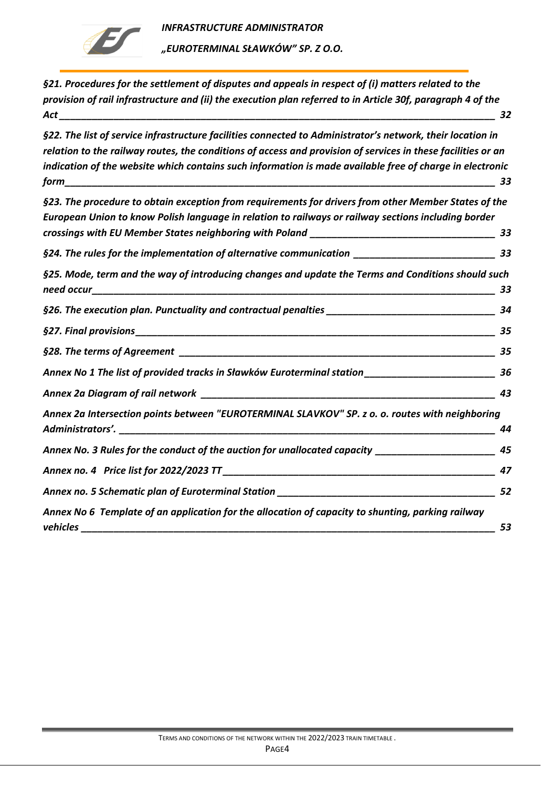

*"EUROTERMINAL SŁAWKÓW" SP. Z O.O.* 

*[§21. Procedures for the settlement of disputes and appeals in respect of \(i\) matters related to the](#page-31-1)  [provision of rail infrastructure and \(ii\) the execution plan referred to in Article 30f, paragraph 4 of the](#page-31-1)  Act [\\_\\_\\_\\_\\_\\_\\_\\_\\_\\_\\_\\_\\_\\_\\_\\_\\_\\_\\_\\_\\_\\_\\_\\_\\_\\_\\_\\_\\_\\_\\_\\_\\_\\_\\_\\_\\_\\_\\_\\_\\_\\_\\_\\_\\_\\_\\_\\_\\_\\_\\_\\_\\_\\_\\_\\_\\_\\_\\_\\_\\_\\_\\_\\_\\_\\_\\_\\_\\_\\_\\_\\_\\_\\_\\_\\_\\_\\_\\_\\_](#page-31-1) 32*

*[§22. The list of service infrastructure facilities connected to Administrator's network, their location in](#page-32-0)  [relation to the railway routes, the conditions of access and provision of services in these facilities or an](#page-32-0)  [indication of the website which contains such information is made available free of charge in electronic](#page-32-0)  [form\\_\\_\\_\\_\\_\\_\\_\\_\\_\\_\\_\\_\\_\\_\\_\\_\\_\\_\\_\\_\\_\\_\\_\\_\\_\\_\\_\\_\\_\\_\\_\\_\\_\\_\\_\\_\\_\\_\\_\\_\\_\\_\\_\\_\\_\\_\\_\\_\\_\\_\\_\\_\\_\\_\\_\\_\\_\\_\\_\\_\\_\\_\\_\\_\\_\\_\\_\\_\\_\\_\\_\\_\\_\\_\\_\\_\\_\\_\\_](#page-32-0) 33*

*[§23. The procedure to obtain exception from requirements for drivers from other Member States of the](#page-32-1)  [European Union to know Polish language in relation to railways or railway sections including border](#page-32-1)  [crossings with EU Member States neighboring with Poland](#page-32-1) \_\_\_\_\_\_\_\_\_\_\_\_\_\_\_\_\_\_\_\_\_\_\_\_\_\_\_\_\_\_\_\_\_\_ 33 [§24. The rules for the implementation of alterna](#page-32-2)tive communication \_\_\_\_\_\_\_\_\_\_\_\_\_\_\_\_\_\_\_\_\_\_\_\_\_\_ 33 [§25. Mode, term and the way of introducing changes and update the Terms and Conditions should such](#page-32-3)  [need occur\\_\\_\\_\\_\\_\\_\\_\\_\\_\\_\\_\\_\\_\\_\\_\\_\\_\\_\\_\\_\\_\\_\\_\\_\\_\\_\\_\\_\\_\\_\\_\\_\\_\\_\\_\\_\\_\\_\\_\\_\\_\\_\\_\\_\\_\\_\\_\\_\\_\\_\\_\\_\\_\\_\\_\\_\\_\\_\\_\\_\\_\\_\\_\\_\\_\\_\\_\\_\\_\\_\\_\\_\\_\\_](#page-32-3) 33 [§26. The execution plan. Punctuality and contractual penalties](#page-33-0) \_\_\_\_\_\_\_\_\_\_\_\_\_\_\_\_\_\_\_\_\_\_\_\_\_\_\_\_\_\_\_ 34 §27. Final provisions[\\_\\_\\_\\_\\_\\_\\_\\_\\_\\_\\_\\_\\_\\_\\_\\_\\_\\_\\_\\_\\_\\_\\_\\_\\_\\_\\_\\_\\_\\_\\_\\_\\_\\_\\_\\_\\_\\_\\_\\_\\_\\_\\_\\_\\_\\_\\_\\_\\_\\_\\_\\_\\_\\_\\_\\_\\_\\_\\_\\_\\_\\_\\_\\_\\_\\_](#page-34-0) 35 §28. The terms of Agreement [\\_\\_\\_\\_\\_\\_\\_\\_\\_\\_\\_\\_\\_\\_\\_\\_\\_\\_\\_\\_\\_\\_\\_\\_\\_\\_\\_\\_\\_\\_\\_\\_\\_\\_\\_\\_\\_\\_\\_\\_\\_\\_\\_\\_\\_\\_\\_\\_\\_\\_\\_\\_\\_\\_\\_\\_\\_\\_](#page-34-1) 35 Annex [No 1 The list of provided tracks in Sławków Euroterminal station](#page-35-0) \_\_\_\_\_\_\_\_\_\_\_\_\_\_\_\_\_\_\_\_\_\_\_\_ 36 Annex 2a Diagram of rail network [\\_\\_\\_\\_\\_\\_\\_\\_\\_\\_\\_\\_\\_\\_\\_\\_\\_\\_\\_\\_\\_\\_\\_\\_\\_\\_\\_\\_\\_\\_\\_\\_\\_\\_\\_\\_\\_\\_\\_\\_\\_\\_\\_\\_\\_\\_\\_\\_\\_\\_\\_\\_\\_\\_](#page-42-0) 43 [Annex 2a Intersection points between "EUROTERMINAL SLAVKOV" SP. z o. o. routes with neighboring](#page-43-0)  Administrators'. [\\_\\_\\_\\_\\_\\_\\_\\_\\_\\_\\_\\_\\_\\_\\_\\_\\_\\_\\_\\_\\_\\_\\_\\_\\_\\_\\_\\_\\_\\_\\_\\_\\_\\_\\_\\_\\_\\_\\_\\_\\_\\_\\_\\_\\_\\_\\_\\_\\_\\_\\_\\_\\_\\_\\_\\_\\_\\_\\_\\_\\_\\_\\_\\_\\_\\_\\_\\_\\_](#page-43-0) 44 [Annex No. 3 Rules for the conduct of the auction for unallocated capacity](#page-44-0) \_\_\_\_\_\_\_\_\_\_\_\_\_\_\_\_\_\_\_\_\_\_ 45 Annex no. 4 Price list for 2022/2023 TT [\\_\\_\\_\\_\\_\\_\\_\\_\\_\\_\\_\\_\\_\\_\\_\\_\\_\\_\\_\\_\\_\\_\\_\\_\\_\\_\\_\\_\\_\\_\\_\\_\\_\\_\\_\\_\\_\\_\\_\\_\\_\\_\\_\\_\\_\\_\\_\\_\\_\\_](#page-46-0) 47 [Annex no. 5 Schematic plan of Euroterminal Station](#page-51-0) \_\_\_\_\_\_\_\_\_\_\_\_\_\_\_\_\_\_\_\_\_\_\_\_\_\_\_\_\_\_\_\_\_\_\_\_\_\_\_\_ 52 Annex No 6 [Template of an application for the allocation of capacity to shunting, parking railway](#page-52-0)  vehicles [\\_\\_\\_\\_\\_\\_\\_\\_\\_\\_\\_\\_\\_\\_\\_\\_\\_\\_\\_\\_\\_\\_\\_\\_\\_\\_\\_\\_\\_\\_\\_\\_\\_\\_\\_\\_\\_\\_\\_\\_\\_\\_\\_\\_\\_\\_\\_\\_\\_\\_\\_\\_\\_\\_\\_\\_\\_\\_\\_\\_\\_\\_\\_\\_\\_\\_\\_\\_\\_\\_\\_\\_\\_\\_\\_\\_](#page-52-0) 53*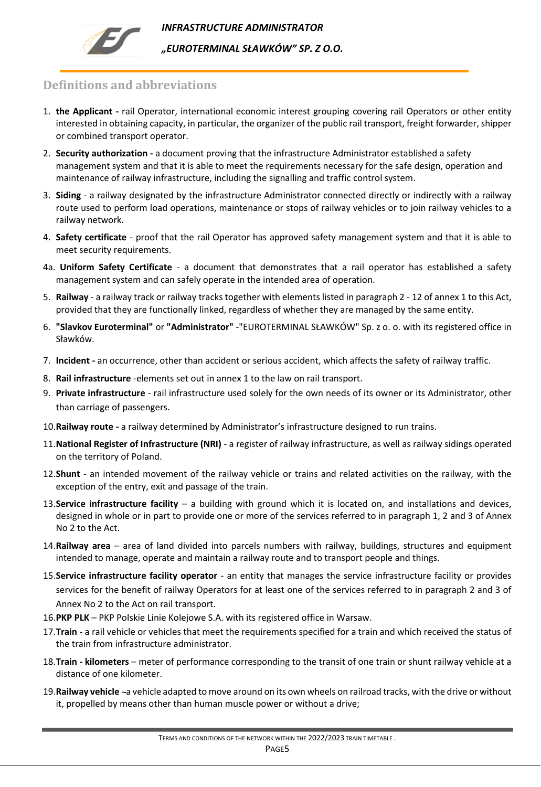

*"EUROTERMINAL SŁAWKÓW" SP. Z O.O.* 

## <span id="page-4-0"></span>**Definitions and abbreviations**

- 1. **the Applicant -** rail Operator, international economic interest grouping covering rail Operators or other entity interested in obtaining capacity, in particular, the organizer of the public rail transport, freight forwarder, shipper or combined transport operator.
- 2. **Security authorization -** a document proving that the infrastructure Administrator established a safety management system and that it is able to meet the requirements necessary for the safe design, operation and maintenance of railway infrastructure, including the signalling and traffic control system.
- 3. **Siding**  a railway designated by the infrastructure Administrator connected directly or indirectly with a railway route used to perform load operations, maintenance or stops of railway vehicles or to join railway vehicles to a railway network.
- 4. **Safety certificate** proof that the rail Operator has approved safety management system and that it is able to meet security requirements.
- 4a. **Uniform Safety Certificate** a document that demonstrates that a rail operator has established a safety management system and can safely operate in the intended area of operation.
- 5. **Railway** a railway track or railway tracks together with elements listed in paragraph 2 12 of annex 1 to this Act, provided that they are functionally linked, regardless of whether they are managed by the same entity.
- 6. **"Slavkov Euroterminal"** or **"Administrator"** -"EUROTERMINAL SŁAWKÓW" Sp. z o. o. with its registered office in Sławków.
- 7. **Incident -** an occurrence, other than accident or serious accident, which affects the safety of railway traffic.
- 8. **Rail infrastructure** -elements set out in annex 1 to the law on rail transport.
- 9. **Private infrastructure** rail infrastructure used solely for the own needs of its owner or its Administrator, other than carriage of passengers.
- 10.**Railway route -** a railway determined by Administrator's infrastructure designed to run trains.
- 11.**National Register of Infrastructure (NRI)** a register of railway infrastructure, as well as railway sidings operated on the territory of Poland.
- 12.**Shunt** an intended movement of the railway vehicle or trains and related activities on the railway, with the exception of the entry, exit and passage of the train.
- 13.**Service infrastructure facility** a building with ground which it is located on, and installations and devices, designed in whole or in part to provide one or more of the services referred to in paragraph 1, 2 and 3 of Annex No 2 to the Act.
- 14.**Railway area** area of land divided into parcels numbers with railway, buildings, structures and equipment intended to manage, operate and maintain a railway route and to transport people and things.
- 15.**Service infrastructure facility operator** an entity that manages the service infrastructure facility or provides services for the benefit of railway Operators for at least one of the services referred to in paragraph 2 and 3 of Annex No 2 to the Act on rail transport.
- 16.**PKP PLK** PKP Polskie Linie Kolejowe S.A. with its registered office in Warsaw.
- 17.**Train**  a rail vehicle or vehicles that meet the requirements specified for a train and which received the status of the train from infrastructure administrator.
- 18.**Train - kilometers**  meter of performance corresponding to the transit of one train or shunt railway vehicle at a distance of one kilometer.
- 19.**Railway vehicle**  a vehicle adapted to move around on its own wheels on railroad tracks, with the drive or without it, propelled by means other than human muscle power or without a drive;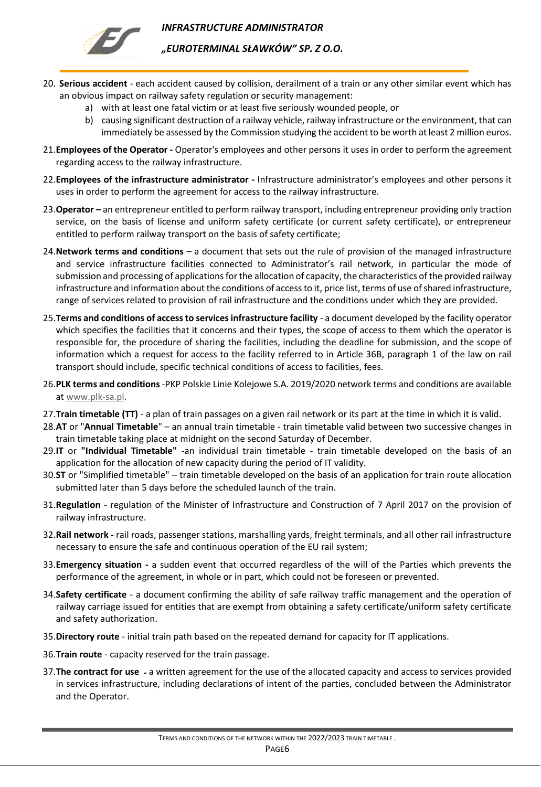

- 20. **Serious accident** each accident caused by collision, derailment of a train or any other similar event which has an obvious impact on railway safety regulation or security management:
	- a) with at least one fatal victim or at least five seriously wounded people, or
	- b) causing significant destruction of a railway vehicle, railway infrastructure or the environment, that can immediately be assessed by the Commission studying the accident to be worth at least 2 million euros.
- 21.**Employees of the Operator -** Operator's employees and other persons it uses in order to perform the agreement regarding access to the railway infrastructure.
- 22.**Employees of the infrastructure administrator -** Infrastructure administrator's employees and other persons it uses in order to perform the agreement for access to the railway infrastructure.
- 23.**Operator –** an entrepreneur entitled to perform railway transport, including entrepreneur providing only traction service, on the basis of license and uniform safety certificate (or current safety certificate), or entrepreneur entitled to perform railway transport on the basis of safety certificate;
- 24.**Network terms and conditions** a document that sets out the rule of provision of the managed infrastructure and service infrastructure facilities connected to Administrator's rail network, in particular the mode of submission and processing of applications for the allocation of capacity, the characteristics of the provided railway infrastructure and information about the conditions of access to it, price list, terms of use of shared infrastructure, range of services related to provision of rail infrastructure and the conditions under which they are provided.
- 25.**Terms and conditions of access to services infrastructure facility** a document developed by the facility operator which specifies the facilities that it concerns and their types, the scope of access to them which the operator is responsible for, the procedure of sharing the facilities, including the deadline for submission, and the scope of information which a request for access to the facility referred to in Article 36B, paragraph 1 of the law on rail transport should include, specific technical conditions of access to facilities, fees.
- 26.**PLK terms and conditions** -PKP Polskie Linie Kolejowe S.A. 2019/2020 network terms and conditions are available at [www.plk-sa.pl.](http://www.plk-sa.pl/)
- 27.**Train timetable (TT)**  a plan of train passages on a given rail network or its part at the time in which it is valid.
- 28.**AT** or "**Annual Timetable**" an annual train timetable train timetable valid between two successive changes in train timetable taking place at midnight on the second Saturday of December.
- 29.**IT** or **"Individual Timetable"** -an individual train timetable train timetable developed on the basis of an application for the allocation of new capacity during the period of IT validity.
- 30.**ST** or "Simplified timetable" train timetable developed on the basis of an application for train route allocation submitted later than 5 days before the scheduled launch of the train.
- 31.**Regulation**  regulation of the Minister of Infrastructure and Construction of 7 April 2017 on the provision of railway infrastructure.
- 32.**Rail network -** rail roads, passenger stations, marshalling yards, freight terminals, and all other rail infrastructure necessary to ensure the safe and continuous operation of the EU rail system;
- 33.**Emergency situation -** a sudden event that occurred regardless of the will of the Parties which prevents the performance of the agreement, in whole or in part, which could not be foreseen or prevented.
- 34.**Safety certificate**  a document confirming the ability of safe railway traffic management and the operation of railway carriage issued for entities that are exempt from obtaining a safety certificate/uniform safety certificate and safety authorization.
- 35.**Directory route** initial train path based on the repeated demand for capacity for IT applications.
- 36.**Train route**  capacity reserved for the train passage.
- 37.**The contract for use** a written agreement for the use of the allocated capacity and access to services provided in services infrastructure, including declarations of intent of the parties, concluded between the Administrator and the Operator.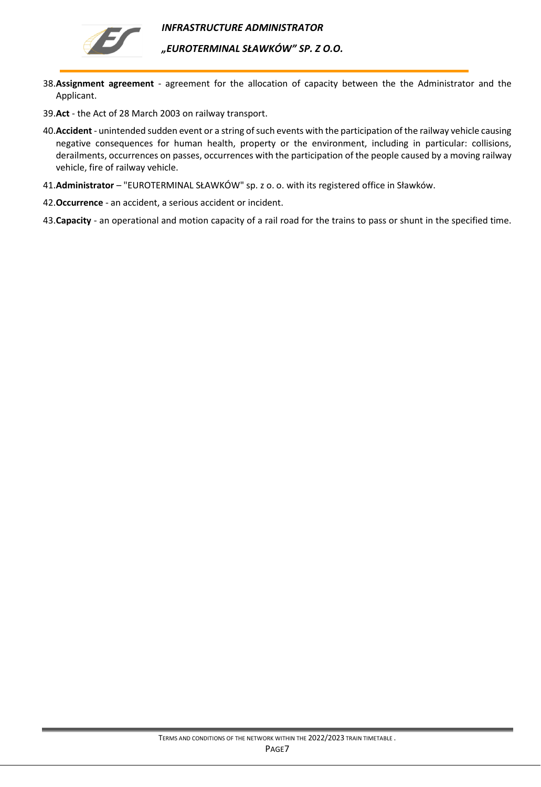



- 38.**Assignment agreement** agreement for the allocation of capacity between the the Administrator and the Applicant.
- 39.**Act**  the Act of 28 March 2003 on railway transport.
- 40.**Accident**  unintended sudden event or a string of such events with the participation of the railway vehicle causing negative consequences for human health, property or the environment, including in particular: collisions, derailments, occurrences on passes, occurrences with the participation of the people caused by a moving railway vehicle, fire of railway vehicle.
- 41.**Administrator**  "EUROTERMINAL SŁAWKÓW" sp. z o. o. with its registered office in Sławków.
- 42.**Occurrence**  an accident, a serious accident or incident.
- 43.**Capacity** an operational and motion capacity of a rail road for the trains to pass or shunt in the specified time.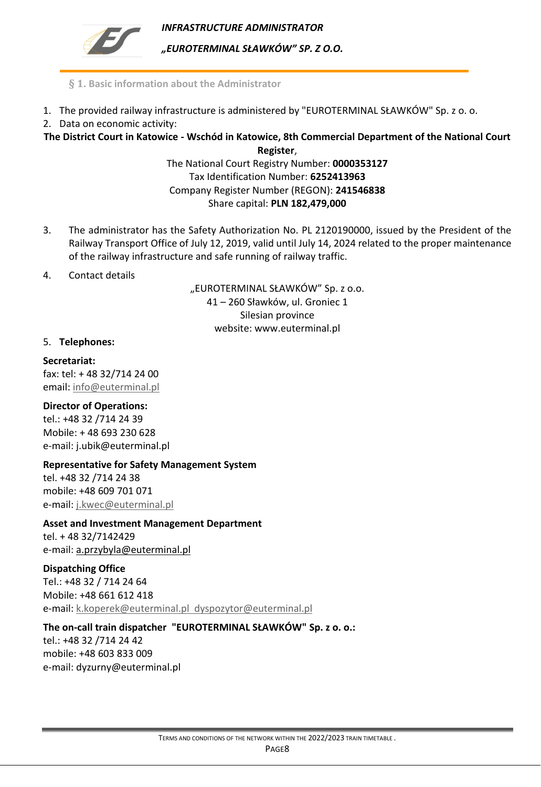

*"EUROTERMINAL SŁAWKÓW" SP. Z O.O.* 

- **§ 1. Basic information about the Administrator**
- <span id="page-7-0"></span>1. The provided railway infrastructure is administered by "EUROTERMINAL SŁAWKÓW" Sp. z o. o.
- 2. Data on economic activity:

**The District Court in Katowice - Wschód in Katowice, 8th Commercial Department of the National Court Register**,

The National Court Registry Number: **0000353127** Tax Identification Number: **6252413963** Company Register Number (REGON): **241546838** Share capital: **PLN 182,479,000**

- 3. The administrator has the Safety Authorization No. PL 2120190000, issued by the President of the Railway Transport Office of July 12, 2019, valid until July 14, 2024 related to the proper maintenance of the railway infrastructure and safe running of railway traffic.
- 4. Contact details

"EUROTERMINAL SŁAWKÓW" Sp. z o.o. 41 – 260 Sławków, ul. Groniec 1 Silesian province website: www.euterminal.pl

### 5. **Telephones:**

**Secretariat:**  fax: tel: + 48 32/714 24 00 email: [info@euterminal.pl](mailto:info@euterminal.pl)

### **Director of Operations:**

tel.: +48 32 /714 24 39 Mobile: + 48 693 230 628 e-mail: j.ubik@euterminal.pl

### **Representative for Safety Management System**

tel. +48 32 /714 24 38 mobile: +48 609 701 071 e-mail: [j.kwec@euterminal.pl](mailto:j.kwec@euterminal.pl)

**Asset and Investment Management Department** tel. + 48 32/7142429

e-mail: a.przybyla@euterminal.pl

## **Dispatching Office**

Tel.: +48 32 / 714 24 64 Mobile: +48 661 612 418 e-mail: [k.koperek@euterminal.pl](mailto:k.koperek@euterminal.pl) dyspozytor@euterminal.pl

## **The on-call train dispatcher "EUROTERMINAL SŁAWKÓW" Sp. z o. o.:**

tel.: +48 32 /714 24 42 mobile: +48 603 833 009 e-mail: dyzurny@euterminal.pl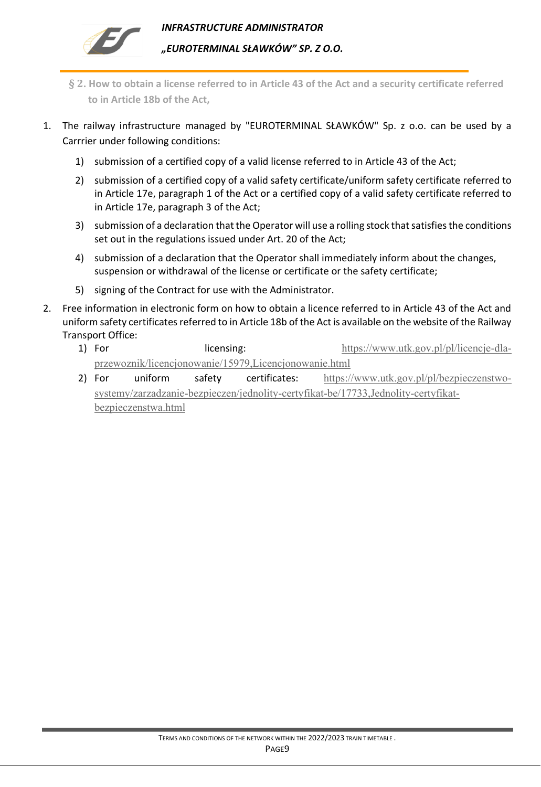

- <span id="page-8-0"></span>**§ 2. How to obtain a license referred to in Article 43 of the Act and a security certificate referred to in Article 18b of the Act,**
- 1. The railway infrastructure managed by "EUROTERMINAL SŁAWKÓW" Sp. z o.o. can be used by a Carrrier under following conditions:
	- 1) submission of a certified copy of a valid license referred to in Article 43 of the Act;
	- 2) submission of a certified copy of a valid safety certificate/uniform safety certificate referred to in Article 17e, paragraph 1 of the Act or a certified copy of a valid safety certificate referred to in Article 17e, paragraph 3 of the Act;
	- 3) submission of a declaration that the Operator will use a rolling stock that satisfies the conditions set out in the regulations issued under Art. 20 of the Act;
	- 4) submission of a declaration that the Operator shall immediately inform about the changes, suspension or withdrawal of the license or certificate or the safety certificate;
	- 5) signing of the Contract for use with the Administrator.
- 2. Free information in electronic form on how to obtain a licence referred to in Article 43 of the Act and uniform safety certificates referred to in Article 18b of the Act is available on the website of the Railway Transport Office:
	- 1) For licensing: licensing: [https://www.utk.gov.pl/pl/licencje-dla](https://www.utk.gov.pl/pl/licencje-dla-przewoznik/licencjonowanie/15979,Licencjonowanie.html)[przewoznik/licencjonowanie/15979,Licencjonowanie.html](https://www.utk.gov.pl/pl/licencje-dla-przewoznik/licencjonowanie/15979,Licencjonowanie.html)
	- 2) For uniform safety certificates: [https://www.utk.gov.pl/pl/bezpieczenstwo](https://www.utk.gov.pl/pl/bezpieczenstwo-systemy/zarzadzanie-bezpieczen/jednolity-certyfikat-be/17733,Jednolity-certyfikat-bezpieczenstwa.html)[systemy/zarzadzanie-bezpieczen/jednolity-certyfikat-be/17733,Jednolity-certyfikat](https://www.utk.gov.pl/pl/bezpieczenstwo-systemy/zarzadzanie-bezpieczen/jednolity-certyfikat-be/17733,Jednolity-certyfikat-bezpieczenstwa.html)[bezpieczenstwa.html](https://www.utk.gov.pl/pl/bezpieczenstwo-systemy/zarzadzanie-bezpieczen/jednolity-certyfikat-be/17733,Jednolity-certyfikat-bezpieczenstwa.html)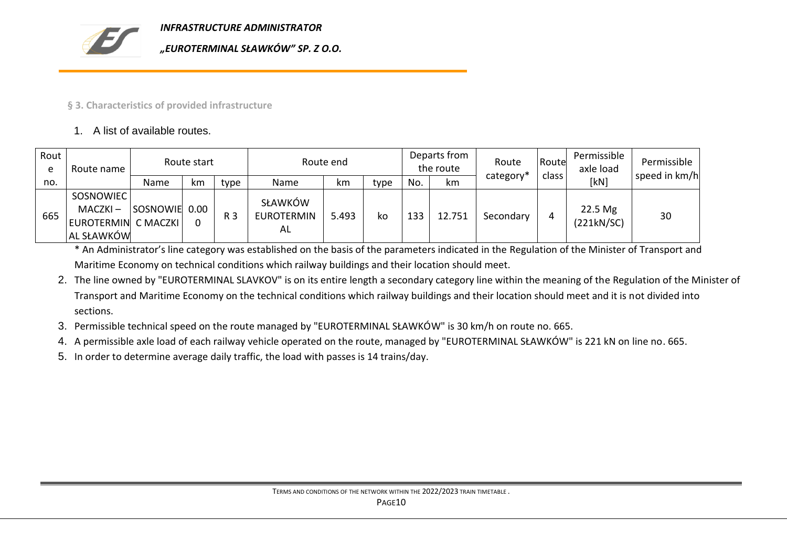

### **§ 3. Characteristics of provided infrastructure**

### 1. A list of available routes.

| Rout<br>e | Route name                                                   | Route start   |    |      |                                    | Route end |      |     | Departs from<br>the route | Route     | Route | Permissible<br>axle load | Permissible   |
|-----------|--------------------------------------------------------------|---------------|----|------|------------------------------------|-----------|------|-----|---------------------------|-----------|-------|--------------------------|---------------|
| no.       |                                                              | Name          | km | type | Name                               | km        | type | No. | km                        | category* | class | [kN]                     | speed in km/h |
| 665       | SOSNOWIEC<br>$MACZKI -$<br>EUROTERMIN C MACZKI<br>AL SŁAWKÓW | SOSNOWIE 0.00 |    | R 3  | SŁAWKÓW<br><b>EUROTERMIN</b><br>AL | 5.493     | ko   | 133 | 12.751                    | Secondary | 4     | 22.5 Mg<br>(221kN/SC)    | 30            |

\* An Administrator's line category was established on the basis of the parameters indicated in the Regulation of the Minister of Transport and Maritime Economy on technical conditions which railway buildings and their location should meet.

2. The line owned by "EUROTERMINAL SLAVKOV" is on its entire length a secondary category line within the meaning of the Regulation of the Minister of Transport and Maritime Economy on the technical conditions which railway buildings and their location should meet and it is not divided into sections.

- <span id="page-9-0"></span>3. Permissible technical speed on the route managed by "EUROTERMINAL SŁAWKÓW" is 30 km/h on route no. 665.
- 4. A permissible axle load of each railway vehicle operated on the route, managed by "EUROTERMINAL SŁAWKÓW" is 221 kN on line no. 665.
- 5. In order to determine average daily traffic, the load with passes is 14 trains/day.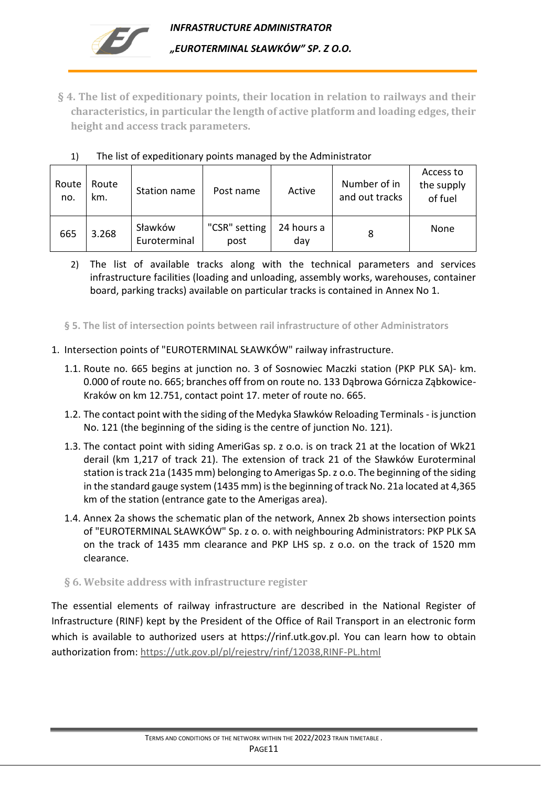<span id="page-10-0"></span>**§ 4. The list of expeditionary points, their location in relation to railways and their characteristics, in particular the length of active platform and loading edges, their height and access track parameters.**

| Route<br>no. | Route<br>km. | Station name            | Post name             | Active            | Number of in<br>and out tracks | Access to<br>the supply<br>of fuel |
|--------------|--------------|-------------------------|-----------------------|-------------------|--------------------------------|------------------------------------|
| 665          | 3.268        | Sławków<br>Euroterminal | "CSR" setting<br>post | 24 hours a<br>dav | 8                              | None                               |

## 1) The list of expeditionary points managed by the Administrator

2) The list of available tracks along with the technical parameters and services infrastructure facilities (loading and unloading, assembly works, warehouses, container board, parking tracks) available on particular tracks is contained in Annex No 1.

<span id="page-10-1"></span>**§ 5. The list of intersection points between rail infrastructure of other Administrators**

- 1. Intersection points of "EUROTERMINAL SŁAWKÓW" railway infrastructure.
	- 1.1. Route no. 665 begins at junction no. 3 of Sosnowiec Maczki station (PKP PLK SA)- km. 0.000 of route no. 665; branches off from on route no. 133 Dąbrowa Górnicza Ząbkowice-Kraków on km 12.751, contact point 17. meter of route no. 665.
	- 1.2. The contact point with the siding of the Medyka Sławków Reloading Terminals isjunction No. 121 (the beginning of the siding is the centre of junction No. 121).
	- 1.3. The contact point with siding AmeriGas sp. z o.o. is on track 21 at the location of Wk21 derail (km 1,217 of track 21). The extension of track 21 of the Sławków Euroterminal station is track 21a (1435 mm) belonging to Amerigas Sp. z o.o. The beginning of the siding in the standard gauge system (1435 mm) is the beginning of track No. 21a located at 4,365 km of the station (entrance gate to the Amerigas area).
	- 1.4. Annex 2a shows the schematic plan of the network, Annex 2b shows intersection points of "EUROTERMINAL SŁAWKÓW" Sp. z o. o. with neighbouring Administrators: PKP PLK SA on the track of 1435 mm clearance and PKP LHS sp. z o.o. on the track of 1520 mm clearance.

## <span id="page-10-2"></span>**§ 6. Website address with infrastructure register**

The essential elements of railway infrastructure are described in the National Register of Infrastructure (RINF) kept by the President of the Office of Rail Transport in an electronic form which is available to authorized users at https://rinf.utk.gov.pl. You can learn how to obtain authorization from:<https://utk.gov.pl/pl/rejestry/rinf/12038,RINF-PL.html>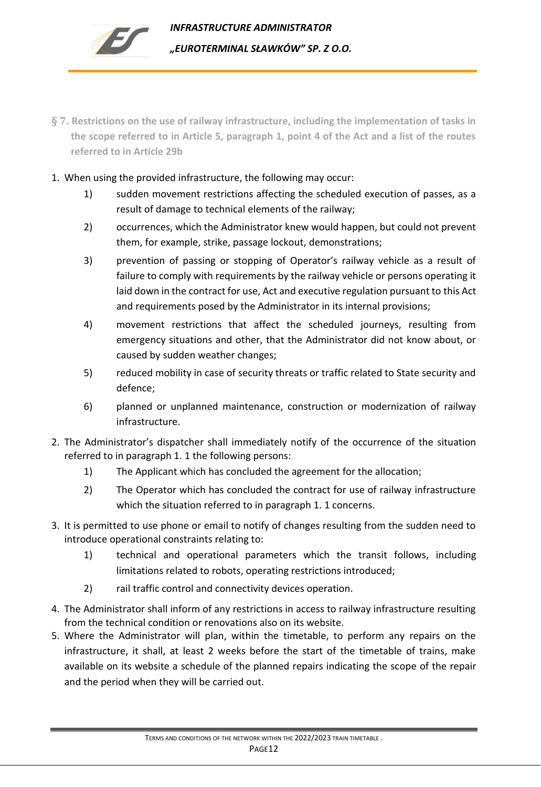

- <span id="page-11-0"></span>**§ 7. Restrictions on the use of railway infrastructure, including the implementation of tasks in the scope referred to in Article 5, paragraph 1, point 4 of the Act and a list of the routes referred to in Article 29b**
- 1. When using the provided infrastructure, the following may occur:
	- 1) sudden movement restrictions affecting the scheduled execution of passes, as a result of damage to technical elements of the railway;
	- 2) occurrences, which the Administrator knew would happen, but could not prevent them, for example, strike, passage lockout, demonstrations;
	- 3) prevention of passing or stopping of Operator's railway vehicle as a result of failure to comply with requirements by the railway vehicle or persons operating it laid down in the contract for use, Act and executive regulation pursuant to this Act and requirements posed by the Administrator in its internal provisions;
	- 4) movement restrictions that affect the scheduled journeys, resulting from emergency situations and other, that the Administrator did not know about, or caused by sudden weather changes;
	- 5) reduced mobility in case of security threats or traffic related to State security and defence;
	- 6) planned or unplanned maintenance, construction or modernization of railway infrastructure.
- 2. The Administrator's dispatcher shall immediately notify of the occurrence of the situation referred to in paragraph 1. 1 the following persons:
	- 1) The Applicant which has concluded the agreement for the allocation;
	- 2) The Operator which has concluded the contract for use of railway infrastructure which the situation referred to in paragraph 1. 1 concerns.
- 3. It is permitted to use phone or email to notify of changes resulting from the sudden need to introduce operational constraints relating to:
	- 1) technical and operational parameters which the transit follows, including limitations related to robots, operating restrictions introduced;
	- 2) rail traffic control and connectivity devices operation.
- 4. The Administrator shall inform of any restrictions in access to railway infrastructure resulting from the technical condition or renovations also on its website.
- 5. Where the Administrator will plan, within the timetable, to perform any repairs on the infrastructure, it shall, at least 2 weeks before the start of the timetable of trains, make available on its website a schedule of the planned repairs indicating the scope of the repair and the period when they will be carried out.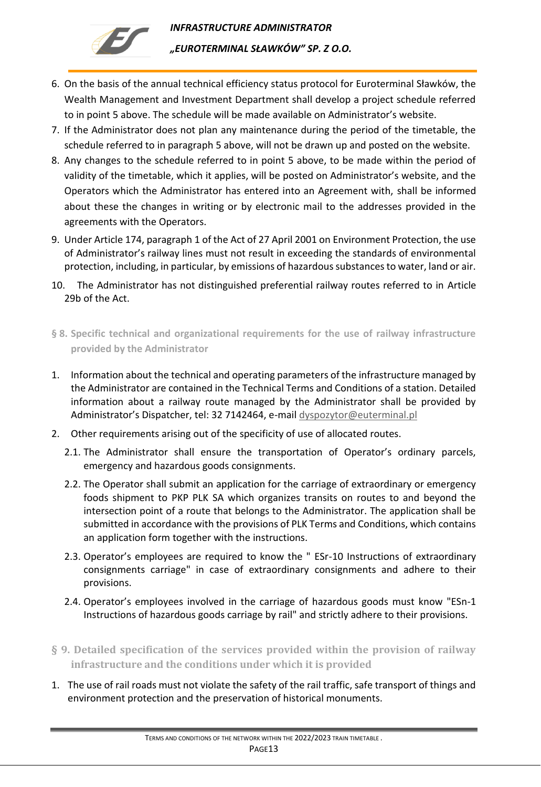

- 6. On the basis of the annual technical efficiency status protocol for Euroterminal Sławków, the Wealth Management and Investment Department shall develop a project schedule referred to in point 5 above. The schedule will be made available on Administrator's website.
- 7. If the Administrator does not plan any maintenance during the period of the timetable, the schedule referred to in paragraph 5 above, will not be drawn up and posted on the website.
- 8. Any changes to the schedule referred to in point 5 above, to be made within the period of validity of the timetable, which it applies, will be posted on Administrator's website, and the Operators which the Administrator has entered into an Agreement with, shall be informed about these the changes in writing or by electronic mail to the addresses provided in the agreements with the Operators.
- 9. Under Article 174, paragraph 1 of the Act of 27 April 2001 on Environment Protection, the use of Administrator's railway lines must not result in exceeding the standards of environmental protection, including, in particular, by emissions of hazardous substances to water, land or air.
- 10. The Administrator has not distinguished preferential railway routes referred to in Article 29b of the Act.
- <span id="page-12-0"></span>**§ 8. Specific technical and organizational requirements for the use of railway infrastructure provided by the Administrator**
- 1. Information about the technical and operating parameters of the infrastructure managed by the Administrator are contained in the Technical Terms and Conditions of a station. Detailed information about a railway route managed by the Administrator shall be provided by Administrator's Dispatcher, tel: 32 7142464, e-mail [dyspozytor@euterminal.pl](mailto:dyspozytor@euterminal.pl)
- 2. Other requirements arising out of the specificity of use of allocated routes.
	- 2.1. The Administrator shall ensure the transportation of Operator's ordinary parcels, emergency and hazardous goods consignments.
	- 2.2. The Operator shall submit an application for the carriage of extraordinary or emergency foods shipment to PKP PLK SA which organizes transits on routes to and beyond the intersection point of a route that belongs to the Administrator. The application shall be submitted in accordance with the provisions of PLK Terms and Conditions, which contains an application form together with the instructions.
	- 2.3. Operator's employees are required to know the " ESr-10 Instructions of extraordinary consignments carriage" in case of extraordinary consignments and adhere to their provisions.
	- 2.4. Operator's employees involved in the carriage of hazardous goods must know "ESn-1 Instructions of hazardous goods carriage by rail" and strictly adhere to their provisions.
- <span id="page-12-1"></span>**§ 9. Detailed specification of the services provided within the provision of railway infrastructure and the conditions under which it is provided**
- 1. The use of rail roads must not violate the safety of the rail traffic, safe transport of things and environment protection and the preservation of historical monuments.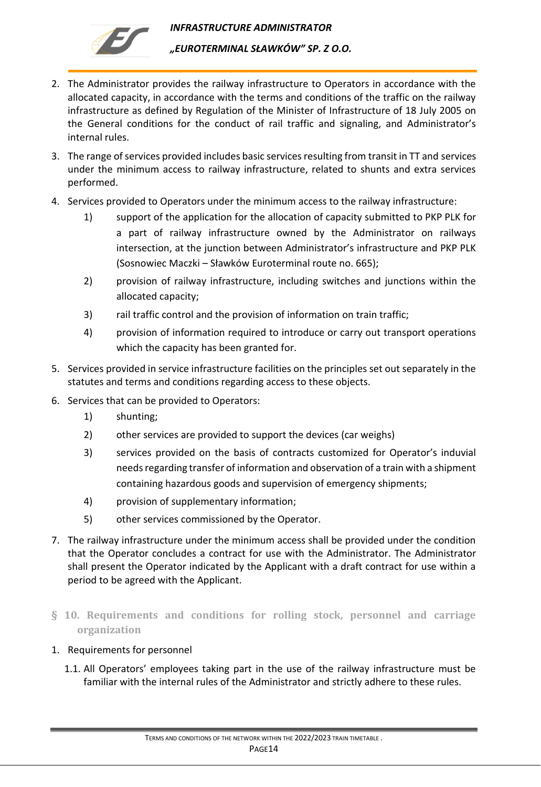

- 2. The Administrator provides the railway infrastructure to Operators in accordance with the allocated capacity, in accordance with the terms and conditions of the traffic on the railway infrastructure as defined by Regulation of the Minister of Infrastructure of 18 July 2005 on the General conditions for the conduct of rail traffic and signaling, and Administrator's internal rules.
- 3. The range of services provided includes basic services resulting from transit in TT and services under the minimum access to railway infrastructure, related to shunts and extra services performed.
- 4. Services provided to Operators under the minimum access to the railway infrastructure:
	- 1) support of the application for the allocation of capacity submitted to PKP PLK for a part of railway infrastructure owned by the Administrator on railways intersection, at the junction between Administrator's infrastructure and PKP PLK (Sosnowiec Maczki – Sławków Euroterminal route no. 665);
	- 2) provision of railway infrastructure, including switches and junctions within the allocated capacity;
	- 3) rail traffic control and the provision of information on train traffic;
	- 4) provision of information required to introduce or carry out transport operations which the capacity has been granted for.
- 5. Services provided in service infrastructure facilities on the principles set out separately in the statutes and terms and conditions regarding access to these objects.
- 6. Services that can be provided to Operators:
	- 1) shunting;
	- 2) other services are provided to support the devices (car weighs)
	- 3) services provided on the basis of contracts customized for Operator's induvial needs regarding transfer of information and observation of a train with a shipment containing hazardous goods and supervision of emergency shipments;
	- 4) provision of supplementary information;
	- 5) other services commissioned by the Operator.
- 7. The railway infrastructure under the minimum access shall be provided under the condition that the Operator concludes a contract for use with the Administrator. The Administrator shall present the Operator indicated by the Applicant with a draft contract for use within a period to be agreed with the Applicant.
- <span id="page-13-0"></span>**§ 10. Requirements and conditions for rolling stock, personnel and carriage organization**
- 1. Requirements for personnel
	- 1.1. All Operators' employees taking part in the use of the railway infrastructure must be familiar with the internal rules of the Administrator and strictly adhere to these rules.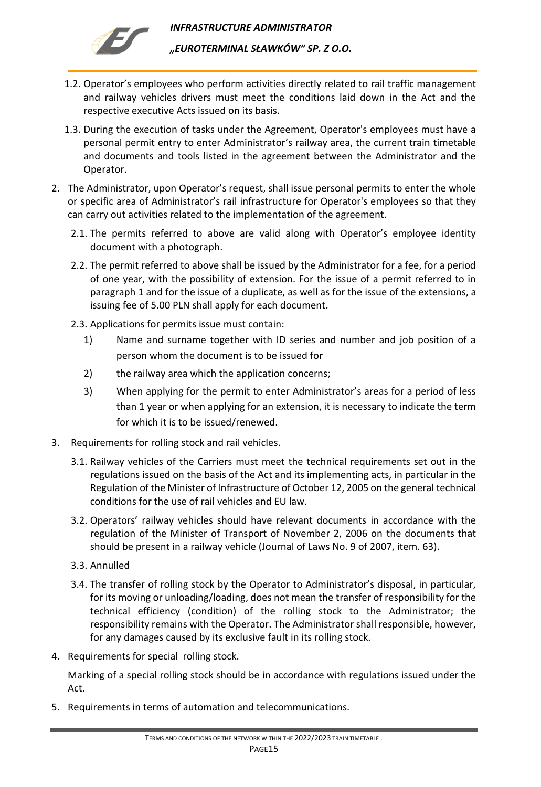

*"EUROTERMINAL SŁAWKÓW" SP. Z O.O.* 

- 1.2. Operator's employees who perform activities directly related to rail traffic management and railway vehicles drivers must meet the conditions laid down in the Act and the respective executive Acts issued on its basis.
- 1.3. During the execution of tasks under the Agreement, Operator's employees must have a personal permit entry to enter Administrator's railway area, the current train timetable and documents and tools listed in the agreement between the Administrator and the Operator.
- 2. The Administrator, upon Operator's request, shall issue personal permits to enter the whole or specific area of Administrator's rail infrastructure for Operator's employees so that they can carry out activities related to the implementation of the agreement.
	- 2.1. The permits referred to above are valid along with Operator's employee identity document with a photograph.
	- 2.2. The permit referred to above shall be issued by the Administrator for a fee, for a period of one year, with the possibility of extension. For the issue of a permit referred to in paragraph 1 and for the issue of a duplicate, as well as for the issue of the extensions, a issuing fee of 5.00 PLN shall apply for each document.
	- 2.3. Applications for permits issue must contain:
		- 1) Name and surname together with ID series and number and job position of a person whom the document is to be issued for
		- 2) the railway area which the application concerns;
		- 3) When applying for the permit to enter Administrator's areas for a period of less than 1 year or when applying for an extension, it is necessary to indicate the term for which it is to be issued/renewed.
- 3. Requirements for rolling stock and rail vehicles.
	- 3.1. Railway vehicles of the Carriers must meet the technical requirements set out in the regulations issued on the basis of the Act and its implementing acts, in particular in the Regulation of the Minister of Infrastructure of October 12, 2005 on the general technical conditions for the use of rail vehicles and EU law.
	- 3.2. Operators' railway vehicles should have relevant documents in accordance with the regulation of the Minister of Transport of November 2, 2006 on the documents that should be present in a railway vehicle (Journal of Laws No. 9 of 2007, item. 63).
	- 3.3. Annulled
	- 3.4. The transfer of rolling stock by the Operator to Administrator's disposal, in particular, for its moving or unloading/loading, does not mean the transfer of responsibility for the technical efficiency (condition) of the rolling stock to the Administrator; the responsibility remains with the Operator. The Administrator shall responsible, however, for any damages caused by its exclusive fault in its rolling stock.
- 4. Requirements for special rolling stock.

Marking of a special rolling stock should be in accordance with regulations issued under the Act.

5. Requirements in terms of automation and telecommunications.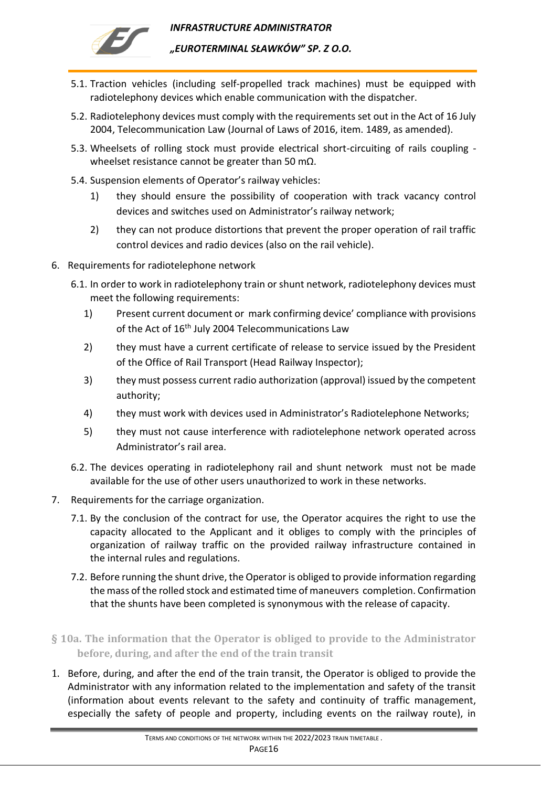

*INFRASTRUCTURE ADMINISTRATOR "EUROTERMINAL SŁAWKÓW" SP. Z O.O.* 

- 5.1. Traction vehicles (including self-propelled track machines) must be equipped with radiotelephony devices which enable communication with the dispatcher.
- 5.2. Radiotelephony devices must comply with the requirements set out in the Act of 16 July 2004, Telecommunication Law (Journal of Laws of 2016, item. 1489, as amended).
- 5.3. Wheelsets of rolling stock must provide electrical short-circuiting of rails coupling wheelset resistance cannot be greater than 50 mΩ.
- 5.4. Suspension elements of Operator's railway vehicles:
	- 1) they should ensure the possibility of cooperation with track vacancy control devices and switches used on Administrator's railway network;
	- 2) they can not produce distortions that prevent the proper operation of rail traffic control devices and radio devices (also on the rail vehicle).
- 6. Requirements for radiotelephone network
	- 6.1. In order to work in radiotelephony train or shunt network, radiotelephony devices must meet the following requirements:
		- 1) Present current document or mark confirming device' compliance with provisions of the Act of 16<sup>th</sup> July 2004 Telecommunications Law
		- 2) they must have a current certificate of release to service issued by the President of the Office of Rail Transport (Head Railway Inspector);
		- 3) they must possess current radio authorization (approval) issued by the competent authority;
		- 4) they must work with devices used in Administrator's Radiotelephone Networks;
		- 5) they must not cause interference with radiotelephone network operated across Administrator's rail area.
	- 6.2. The devices operating in radiotelephony rail and shunt network must not be made available for the use of other users unauthorized to work in these networks.
- 7. Requirements for the carriage organization.
	- 7.1. By the conclusion of the contract for use, the Operator acquires the right to use the capacity allocated to the Applicant and it obliges to comply with the principles of organization of railway traffic on the provided railway infrastructure contained in the internal rules and regulations.
	- 7.2. Before running the shunt drive, the Operator is obliged to provide information regarding the mass of the rolled stock and estimated time of maneuvers completion. Confirmation that the shunts have been completed is synonymous with the release of capacity.
- <span id="page-15-0"></span>**§ 10a. The information that the Operator is obliged to provide to the Administrator before, during, and after the end of the train transit**
- 1. Before, during, and after the end of the train transit, the Operator is obliged to provide the Administrator with any information related to the implementation and safety of the transit (information about events relevant to the safety and continuity of traffic management, especially the safety of people and property, including events on the railway route), in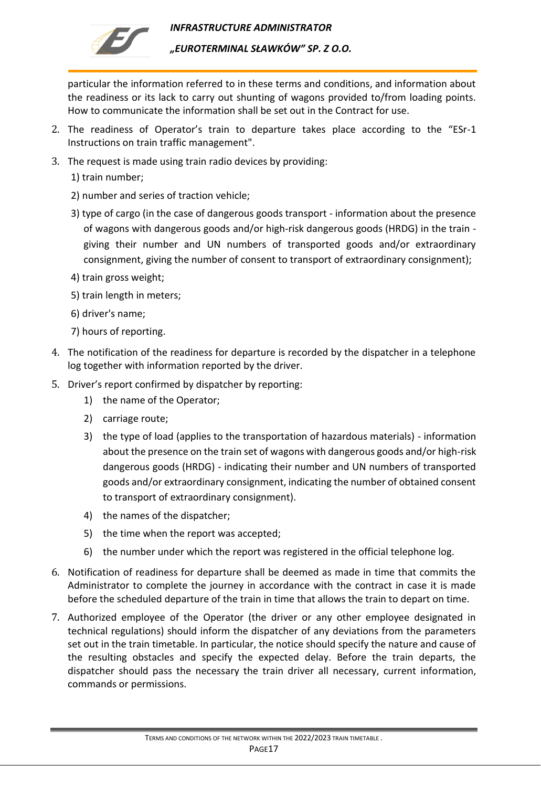

*"EUROTERMINAL SŁAWKÓW" SP. Z O.O.* 

particular the information referred to in these terms and conditions, and information about the readiness or its lack to carry out shunting of wagons provided to/from loading points. How to communicate the information shall be set out in the Contract for use.

- 2. The readiness of Operator's train to departure takes place according to the "ESr-1 Instructions on train traffic management".
- 3. The request is made using train radio devices by providing:
	- 1) train number;
	- 2) number and series of traction vehicle;
	- 3) type of cargo (in the case of dangerous goods transport information about the presence of wagons with dangerous goods and/or high-risk dangerous goods (HRDG) in the train giving their number and UN numbers of transported goods and/or extraordinary consignment, giving the number of consent to transport of extraordinary consignment);
	- 4) train gross weight;
	- 5) train length in meters;
	- 6) driver's name;
	- 7) hours of reporting.
- 4. The notification of the readiness for departure is recorded by the dispatcher in a telephone log together with information reported by the driver.
- 5. Driver's report confirmed by dispatcher by reporting:
	- 1) the name of the Operator;
	- 2) carriage route;
	- 3) the type of load (applies to the transportation of hazardous materials) information about the presence on the train set of wagons with dangerous goods and/or high-risk dangerous goods (HRDG) - indicating their number and UN numbers of transported goods and/or extraordinary consignment, indicating the number of obtained consent to transport of extraordinary consignment).
	- 4) the names of the dispatcher;
	- 5) the time when the report was accepted;
	- 6) the number under which the report was registered in the official telephone log.
- 6. Notification of readiness for departure shall be deemed as made in time that commits the Administrator to complete the journey in accordance with the contract in case it is made before the scheduled departure of the train in time that allows the train to depart on time.
- 7. Authorized employee of the Operator (the driver or any other employee designated in technical regulations) should inform the dispatcher of any deviations from the parameters set out in the train timetable. In particular, the notice should specify the nature and cause of the resulting obstacles and specify the expected delay. Before the train departs, the dispatcher should pass the necessary the train driver all necessary, current information, commands or permissions.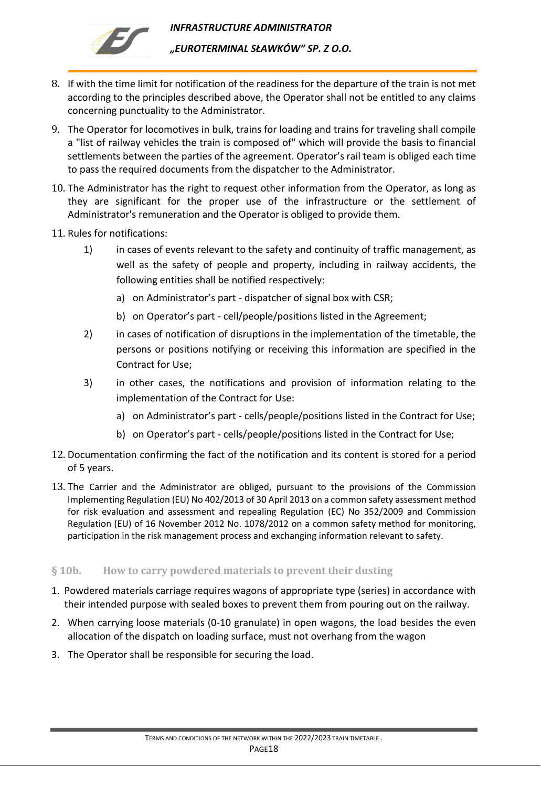

*"EUROTERMINAL SŁAWKÓW" SP. Z O.O.* 

- 8. If with the time limit for notification of the readiness for the departure of the train is not met according to the principles described above, the Operator shall not be entitled to any claims concerning punctuality to the Administrator.
- 9. The Operator for locomotives in bulk, trains for loading and trains for traveling shall compile a "list of railway vehicles the train is composed of" which will provide the basis to financial settlements between the parties of the agreement. Operator's rail team is obliged each time to pass the required documents from the dispatcher to the Administrator.
- 10. The Administrator has the right to request other information from the Operator, as long as they are significant for the proper use of the infrastructure or the settlement of Administrator's remuneration and the Operator is obliged to provide them.
- 11. Rules for notifications:
	- 1) in cases of events relevant to the safety and continuity of traffic management, as well as the safety of people and property, including in railway accidents, the following entities shall be notified respectively:
		- a) on Administrator's part dispatcher of signal box with CSR;
		- b) on Operator's part cell/people/positions listed in the Agreement;
	- 2) in cases of notification of disruptions in the implementation of the timetable, the persons or positions notifying or receiving this information are specified in the Contract for Use;
	- 3) in other cases, the notifications and provision of information relating to the implementation of the Contract for Use:
		- a) on Administrator's part cells/people/positions listed in the Contract for Use;
		- b) on Operator's part cells/people/positions listed in the Contract for Use;
- 12. Documentation confirming the fact of the notification and its content is stored for a period of 5 years.
- 13. The Carrier and the Administrator are obliged, pursuant to the provisions of the Commission Implementing Regulation (EU) No 402/2013 of 30 April 2013 on a common safety assessment method for risk evaluation and assessment and repealing Regulation (EC) No 352/2009 and Commission Regulation (EU) of 16 November 2012 No. 1078/2012 on a common safety method for monitoring, participation in the risk management process and exchanging information relevant to safety.

### <span id="page-17-0"></span>**§ 10b. How to carry powdered materials to prevent their dusting**

- 1. Powdered materials carriage requires wagons of appropriate type (series) in accordance with their intended purpose with sealed boxes to prevent them from pouring out on the railway.
- 2. When carrying loose materials (0-10 granulate) in open wagons, the load besides the even allocation of the dispatch on loading surface, must not overhang from the wagon
- 3. The Operator shall be responsible for securing the load.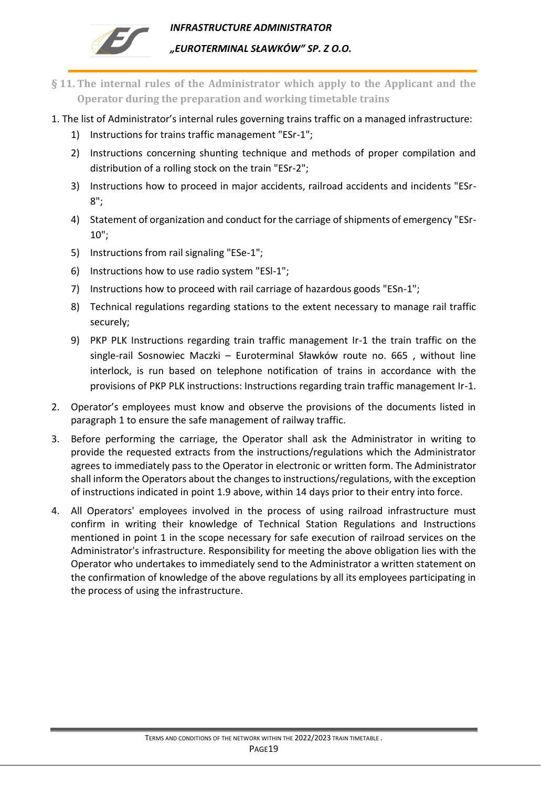

- <span id="page-18-0"></span>**§ 11. The internal rules of the Administrator which apply to the Applicant and the Operator during the preparation and working timetable trains**
- 1. The list of Administrator's internal rules governing trains traffic on a managed infrastructure:
	- 1) Instructions for trains traffic management "ESr-1";
	- 2) Instructions concerning shunting technique and methods of proper compilation and distribution of a rolling stock on the train "ESr-2";
	- 3) Instructions how to proceed in major accidents, railroad accidents and incidents "ESr-8";
	- 4) Statement of organization and conduct for the carriage of shipments of emergency "ESr-10";
	- 5) Instructions from rail signaling "ESe-1";
	- 6) Instructions how to use radio system "ESl-1";
	- 7) Instructions how to proceed with rail carriage of hazardous goods "ESn-1";
	- 8) Technical regulations regarding stations to the extent necessary to manage rail traffic securely;
	- 9) PKP PLK Instructions regarding train traffic management Ir-1 the train traffic on the single-rail Sosnowiec Maczki – Euroterminal Sławków route no. 665 , without line interlock, is run based on telephone notification of trains in accordance with the provisions of PKP PLK instructions: Instructions regarding train traffic management Ir-1.
- 2. Operator's employees must know and observe the provisions of the documents listed in paragraph 1 to ensure the safe management of railway traffic.
- 3. Before performing the carriage, the Operator shall ask the Administrator in writing to provide the requested extracts from the instructions/regulations which the Administrator agrees to immediately pass to the Operator in electronic or written form. The Administrator shall inform the Operators about the changes to instructions/regulations, with the exception of instructions indicated in point 1.9 above, within 14 days prior to their entry into force.
- 4. All Operators' employees involved in the process of using railroad infrastructure must confirm in writing their knowledge of Technical Station Regulations and Instructions mentioned in point 1 in the scope necessary for safe execution of railroad services on the Administrator's infrastructure. Responsibility for meeting the above obligation lies with the Operator who undertakes to immediately send to the Administrator a written statement on the confirmation of knowledge of the above regulations by all its employees participating in the process of using the infrastructure.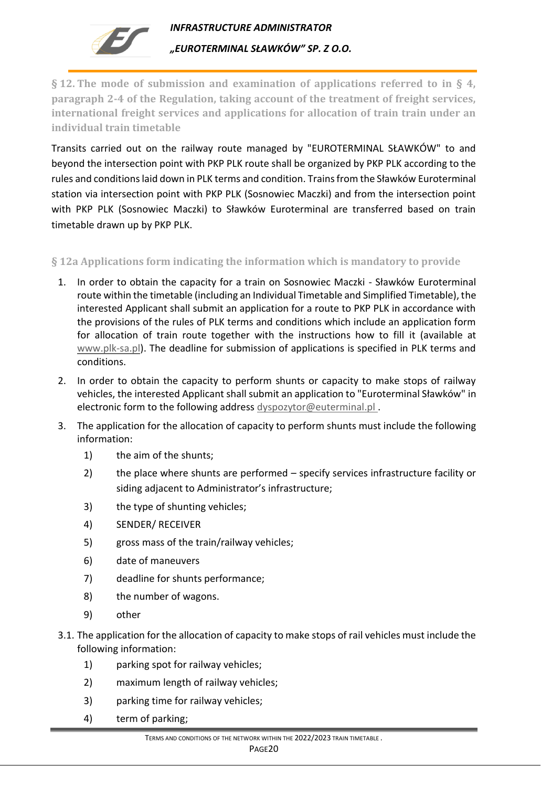

<span id="page-19-0"></span>**§ 12. The mode of submission and examination of applications referred to in § 4, paragraph 2-4 of the Regulation, taking account of the treatment of freight services, international freight services and applications for allocation of train train under an individual train timetable**

Transits carried out on the railway route managed by "EUROTERMINAL SŁAWKÓW" to and beyond the intersection point with PKP PLK route shall be organized by PKP PLK according to the rules and conditions laid down in PLK terms and condition. Trains from the Sławków Euroterminal station via intersection point with PKP PLK (Sosnowiec Maczki) and from the intersection point with PKP PLK (Sosnowiec Maczki) to Sławków Euroterminal are transferred based on train timetable drawn up by PKP PLK.

### <span id="page-19-1"></span>**§ 12a Applications form indicating the information which is mandatory to provide**

- 1. In order to obtain the capacity for a train on Sosnowiec Maczki Sławków Euroterminal route within the timetable (including an Individual Timetable and Simplified Timetable), the interested Applicant shall submit an application for a route to PKP PLK in accordance with the provisions of the rules of PLK terms and conditions which include an application form for allocation of train route together with the instructions how to fill it (available at [www.plk-sa.pl\)](http://www.plk-sa.pl/). The deadline for submission of applications is specified in PLK terms and conditions.
- 2. In order to obtain the capacity to perform shunts or capacity to make stops of railway vehicles, the interested Applicant shall submit an application to "Euroterminal Sławków" in electronic form to the following address [dyspozytor@euterminal.pl](mailto:dyspozytor@euterminal.pl).
- 3. The application for the allocation of capacity to perform shunts must include the following information:
	- 1) the aim of the shunts;
	- 2) the place where shunts are performed specify services infrastructure facility or siding adjacent to Administrator's infrastructure;
	- 3) the type of shunting vehicles;
	- 4) SENDER/ RECEIVER
	- 5) gross mass of the train/railway vehicles;
	- 6) date of maneuvers
	- 7) deadline for shunts performance;
	- 8) the number of wagons.
	- 9) other
- 3.1. The application for the allocation of capacity to make stops of rail vehicles must include the following information:
	- 1) parking spot for railway vehicles;
	- 2) maximum length of railway vehicles;
	- 3) parking time for railway vehicles;
	- 4) term of parking;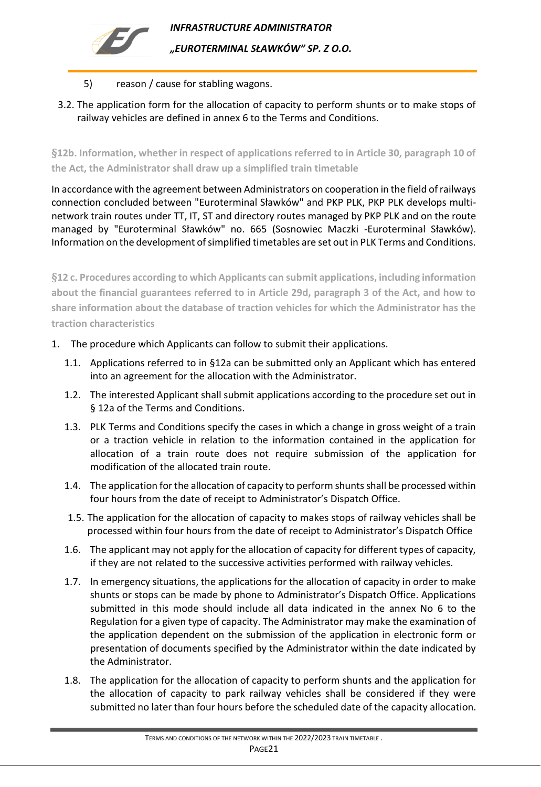

## 5) reason / cause for stabling wagons.

3.2. The application form for the allocation of capacity to perform shunts or to make stops of railway vehicles are defined in annex 6 to the Terms and Conditions.

<span id="page-20-0"></span>**§12b. Information, whether in respect of applications referred to in Article 30, paragraph 10 of the Act, the Administrator shall draw up a simplified train timetable**

In accordance with the agreement between Administrators on cooperation in the field of railways connection concluded between "Euroterminal Sławków" and PKP PLK, PKP PLK develops multinetwork train routes under TT, IT, ST and directory routes managed by PKP PLK and on the route managed by "Euroterminal Sławków" no. 665 (Sosnowiec Maczki -Euroterminal Sławków). Information on the development of simplified timetables are set out in PLK Terms and Conditions.

<span id="page-20-1"></span>**§12 c. Procedures according to which Applicants can submit applications, including information about the financial guarantees referred to in Article 29d, paragraph 3 of the Act, and how to share information about the database of traction vehicles for which the Administrator has the traction characteristics**

- 1. The procedure which Applicants can follow to submit their applications.
	- 1.1. Applications referred to in §12a can be submitted only an Applicant which has entered into an agreement for the allocation with the Administrator.
	- 1.2. The interested Applicant shall submit applications according to the procedure set out in § 12a of the Terms and Conditions.
	- 1.3. PLK Terms and Conditions specify the cases in which a change in gross weight of a train or a traction vehicle in relation to the information contained in the application for allocation of a train route does not require submission of the application for modification of the allocated train route.
	- 1.4. The application for the allocation of capacity to perform shunts shall be processed within four hours from the date of receipt to Administrator's Dispatch Office.
	- 1.5. The application for the allocation of capacity to makes stops of railway vehicles shall be processed within four hours from the date of receipt to Administrator's Dispatch Office
	- 1.6. The applicant may not apply for the allocation of capacity for different types of capacity, if they are not related to the successive activities performed with railway vehicles.
	- 1.7. In emergency situations, the applications for the allocation of capacity in order to make shunts or stops can be made by phone to Administrator's Dispatch Office. Applications submitted in this mode should include all data indicated in the annex No 6 to the Regulation for a given type of capacity. The Administrator may make the examination of the application dependent on the submission of the application in electronic form or presentation of documents specified by the Administrator within the date indicated by the Administrator.
	- 1.8. The application for the allocation of capacity to perform shunts and the application for the allocation of capacity to park railway vehicles shall be considered if they were submitted no later than four hours before the scheduled date of the capacity allocation.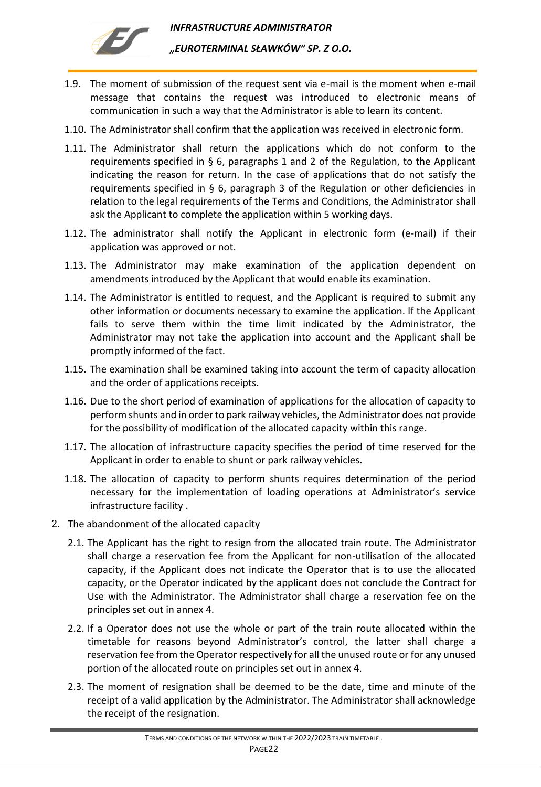

- 1.9. The moment of submission of the request sent via e-mail is the moment when e-mail message that contains the request was introduced to electronic means of communication in such a way that the Administrator is able to learn its content.
- 1.10. The Administrator shall confirm that the application was received in electronic form.
- 1.11. The Administrator shall return the applications which do not conform to the requirements specified in § 6, paragraphs 1 and 2 of the Regulation, to the Applicant indicating the reason for return. In the case of applications that do not satisfy the requirements specified in § 6, paragraph 3 of the Regulation or other deficiencies in relation to the legal requirements of the Terms and Conditions, the Administrator shall ask the Applicant to complete the application within 5 working days.
- 1.12. The administrator shall notify the Applicant in electronic form (e-mail) if their application was approved or not.
- 1.13. The Administrator may make examination of the application dependent on amendments introduced by the Applicant that would enable its examination.
- 1.14. The Administrator is entitled to request, and the Applicant is required to submit any other information or documents necessary to examine the application. If the Applicant fails to serve them within the time limit indicated by the Administrator, the Administrator may not take the application into account and the Applicant shall be promptly informed of the fact.
- 1.15. The examination shall be examined taking into account the term of capacity allocation and the order of applications receipts.
- 1.16. Due to the short period of examination of applications for the allocation of capacity to perform shunts and in order to park railway vehicles, the Administrator does not provide for the possibility of modification of the allocated capacity within this range.
- 1.17. The allocation of infrastructure capacity specifies the period of time reserved for the Applicant in order to enable to shunt or park railway vehicles.
- 1.18. The allocation of capacity to perform shunts requires determination of the period necessary for the implementation of loading operations at Administrator's service infrastructure facility .
- 2. The abandonment of the allocated capacity
	- 2.1. The Applicant has the right to resign from the allocated train route. The Administrator shall charge a reservation fee from the Applicant for non-utilisation of the allocated capacity, if the Applicant does not indicate the Operator that is to use the allocated capacity, or the Operator indicated by the applicant does not conclude the Contract for Use with the Administrator. The Administrator shall charge a reservation fee on the principles set out in annex 4.
	- 2.2. If a Operator does not use the whole or part of the train route allocated within the timetable for reasons beyond Administrator's control, the latter shall charge a reservation fee from the Operator respectively for all the unused route or for any unused portion of the allocated route on principles set out in annex 4.
	- 2.3. The moment of resignation shall be deemed to be the date, time and minute of the receipt of a valid application by the Administrator. The Administrator shall acknowledge the receipt of the resignation.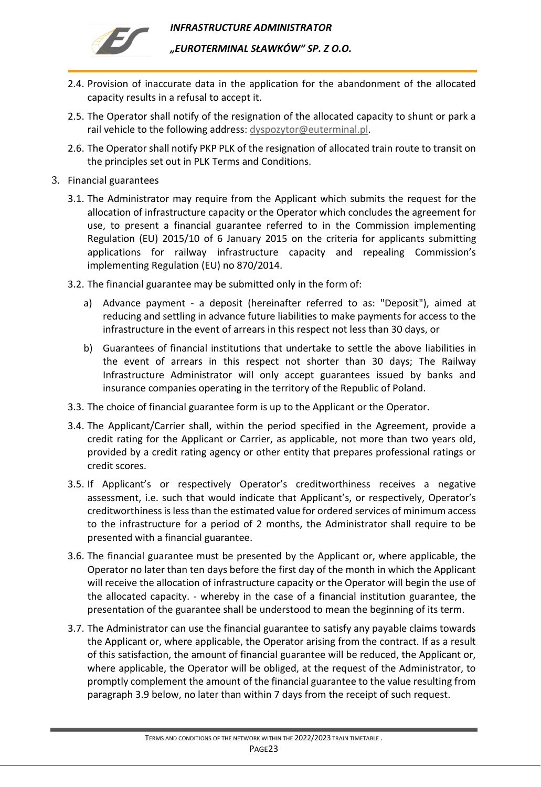

- 2.4. Provision of inaccurate data in the application for the abandonment of the allocated capacity results in a refusal to accept it.
- 2.5. The Operator shall notify of the resignation of the allocated capacity to shunt or park a rail vehicle to the following address: [dyspozytor@euterminal.pl.](mailto:dyspozytor@euterminal.pl)
- 2.6. The Operator shall notify PKP PLK of the resignation of allocated train route to transit on the principles set out in PLK Terms and Conditions.
- 3. Financial guarantees
	- 3.1. The Administrator may require from the Applicant which submits the request for the allocation of infrastructure capacity or the Operator which concludes the agreement for use, to present a financial guarantee referred to in the Commission implementing Regulation (EU) 2015/10 of 6 January 2015 on the criteria for applicants submitting applications for railway infrastructure capacity and repealing Commission's implementing Regulation (EU) no 870/2014.
	- 3.2. The financial guarantee may be submitted only in the form of:
		- a) Advance payment a deposit (hereinafter referred to as: "Deposit"), aimed at reducing and settling in advance future liabilities to make payments for access to the infrastructure in the event of arrears in this respect not less than 30 days, or
		- b) Guarantees of financial institutions that undertake to settle the above liabilities in the event of arrears in this respect not shorter than 30 days; The Railway Infrastructure Administrator will only accept guarantees issued by banks and insurance companies operating in the territory of the Republic of Poland.
	- 3.3. The choice of financial guarantee form is up to the Applicant or the Operator.
	- 3.4. The Applicant/Carrier shall, within the period specified in the Agreement, provide a credit rating for the Applicant or Carrier, as applicable, not more than two years old, provided by a credit rating agency or other entity that prepares professional ratings or credit scores.
	- 3.5. If Applicant's or respectively Operator's creditworthiness receives a negative assessment, i.e. such that would indicate that Applicant's, or respectively, Operator's creditworthiness is less than the estimated value for ordered services of minimum access to the infrastructure for a period of 2 months, the Administrator shall require to be presented with a financial guarantee.
	- 3.6. The financial guarantee must be presented by the Applicant or, where applicable, the Operator no later than ten days before the first day of the month in which the Applicant will receive the allocation of infrastructure capacity or the Operator will begin the use of the allocated capacity. - whereby in the case of a financial institution guarantee, the presentation of the guarantee shall be understood to mean the beginning of its term.
	- 3.7. The Administrator can use the financial guarantee to satisfy any payable claims towards the Applicant or, where applicable, the Operator arising from the contract. If as a result of this satisfaction, the amount of financial guarantee will be reduced, the Applicant or, where applicable, the Operator will be obliged, at the request of the Administrator, to promptly complement the amount of the financial guarantee to the value resulting from paragraph 3.9 below, no later than within 7 days from the receipt of such request.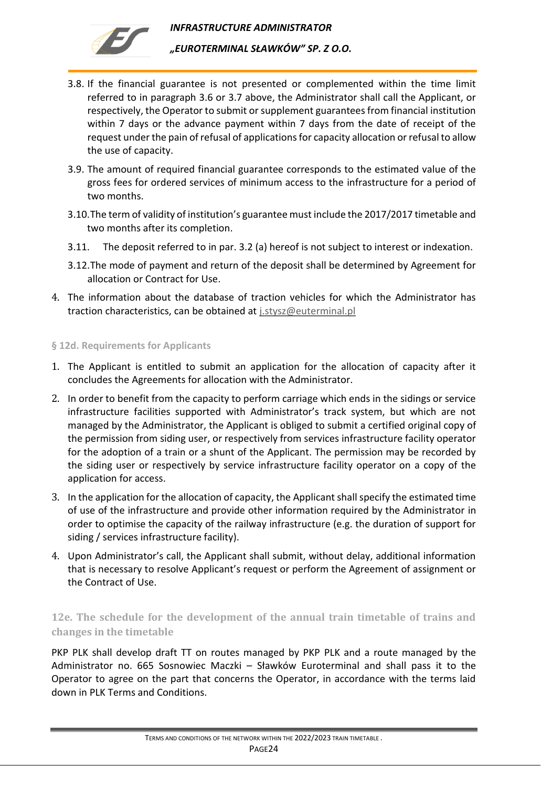

- 3.8. If the financial guarantee is not presented or complemented within the time limit referred to in paragraph 3.6 or 3.7 above, the Administrator shall call the Applicant, or respectively, the Operator to submit or supplement guarantees from financial institution within 7 days or the advance payment within 7 days from the date of receipt of the request under the pain of refusal of applications for capacity allocation or refusal to allow the use of capacity.
- 3.9. The amount of required financial guarantee corresponds to the estimated value of the gross fees for ordered services of minimum access to the infrastructure for a period of two months.
- 3.10.The term of validity of institution's guarantee must include the 2017/2017 timetable and two months after its completion.
- 3.11. The deposit referred to in par. 3.2 (a) hereof is not subject to interest or indexation.
- 3.12.The mode of payment and return of the deposit shall be determined by Agreement for allocation or Contract for Use.
- 4. The information about the database of traction vehicles for which the Administrator has traction characteristics, can be obtained at [j.stysz@euterminal.pl](mailto:j.stysz@euterminal.pl)

### <span id="page-23-0"></span>**§ 12d. Requirements for Applicants**

- 1. The Applicant is entitled to submit an application for the allocation of capacity after it concludes the Agreements for allocation with the Administrator.
- 2. In order to benefit from the capacity to perform carriage which ends in the sidings or service infrastructure facilities supported with Administrator's track system, but which are not managed by the Administrator, the Applicant is obliged to submit a certified original copy of the permission from siding user, or respectively from services infrastructure facility operator for the adoption of a train or a shunt of the Applicant. The permission may be recorded by the siding user or respectively by service infrastructure facility operator on a copy of the application for access.
- 3. In the application for the allocation of capacity, the Applicant shall specify the estimated time of use of the infrastructure and provide other information required by the Administrator in order to optimise the capacity of the railway infrastructure (e.g. the duration of support for siding / services infrastructure facility).
- 4. Upon Administrator's call, the Applicant shall submit, without delay, additional information that is necessary to resolve Applicant's request or perform the Agreement of assignment or the Contract of Use.

## <span id="page-23-1"></span>**12e. The schedule for the development of the annual train timetable of trains and changes in the timetable**

PKP PLK shall develop draft TT on routes managed by PKP PLK and a route managed by the Administrator no. 665 Sosnowiec Maczki – Sławków Euroterminal and shall pass it to the Operator to agree on the part that concerns the Operator, in accordance with the terms laid down in PLK Terms and Conditions.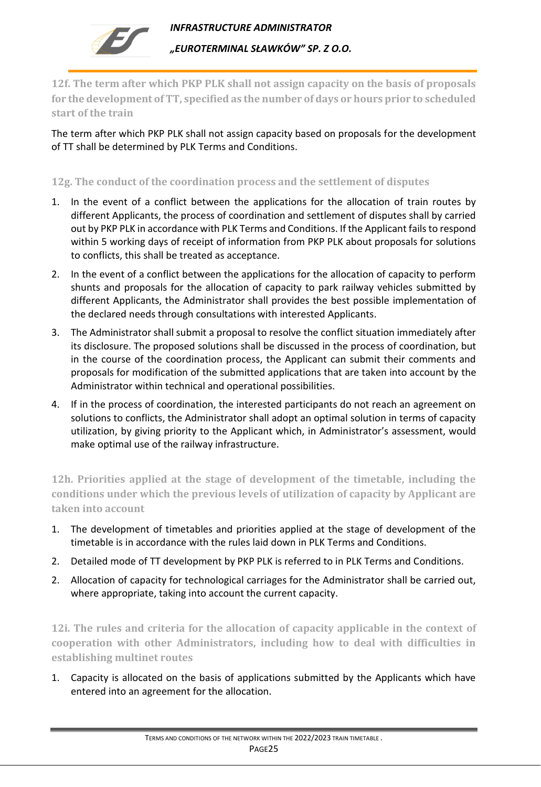

<span id="page-24-0"></span>**12f. The term after which PKP PLK shall not assign capacity on the basis of proposals for the development of TT, specified as the number of days or hours prior to scheduled start of the train**

The term after which PKP PLK shall not assign capacity based on proposals for the development of TT shall be determined by PLK Terms and Conditions.

## <span id="page-24-1"></span>**12g. The conduct of the coordination process and the settlement of disputes**

- 1. In the event of a conflict between the applications for the allocation of train routes by different Applicants, the process of coordination and settlement of disputes shall by carried out by PKP PLK in accordance with PLK Terms and Conditions. If the Applicant fails to respond within 5 working days of receipt of information from PKP PLK about proposals for solutions to conflicts, this shall be treated as acceptance.
- 2. In the event of a conflict between the applications for the allocation of capacity to perform shunts and proposals for the allocation of capacity to park railway vehicles submitted by different Applicants, the Administrator shall provides the best possible implementation of the declared needs through consultations with interested Applicants.
- 3. The Administrator shall submit a proposal to resolve the conflict situation immediately after its disclosure. The proposed solutions shall be discussed in the process of coordination, but in the course of the coordination process, the Applicant can submit their comments and proposals for modification of the submitted applications that are taken into account by the Administrator within technical and operational possibilities.
- 4. If in the process of coordination, the interested participants do not reach an agreement on solutions to conflicts, the Administrator shall adopt an optimal solution in terms of capacity utilization, by giving priority to the Applicant which, in Administrator's assessment, would make optimal use of the railway infrastructure.

<span id="page-24-2"></span>**12h. Priorities applied at the stage of development of the timetable, including the conditions under which the previous levels of utilization of capacity by Applicant are taken into account**

- 1. The development of timetables and priorities applied at the stage of development of the timetable is in accordance with the rules laid down in PLK Terms and Conditions.
- 2. Detailed mode of TT development by PKP PLK is referred to in PLK Terms and Conditions.
- 2. Allocation of capacity for technological carriages for the Administrator shall be carried out, where appropriate, taking into account the current capacity.

<span id="page-24-3"></span>**12i. The rules and criteria for the allocation of capacity applicable in the context of cooperation with other Administrators, including how to deal with difficulties in establishing multinet routes**

1. Capacity is allocated on the basis of applications submitted by the Applicants which have entered into an agreement for the allocation.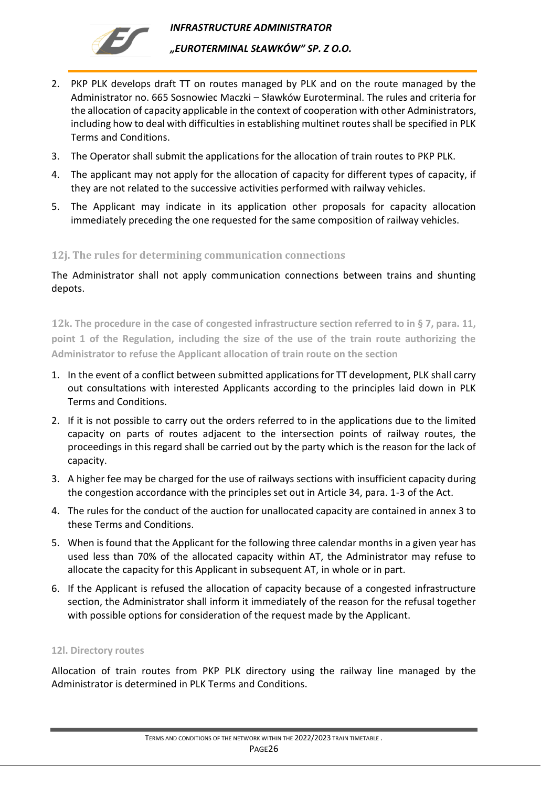

- 2. PKP PLK develops draft TT on routes managed by PLK and on the route managed by the Administrator no. 665 Sosnowiec Maczki – Sławków Euroterminal. The rules and criteria for the allocation of capacity applicable in the context of cooperation with other Administrators, including how to deal with difficulties in establishing multinet routes shall be specified in PLK Terms and Conditions.
- 3. The Operator shall submit the applications for the allocation of train routes to PKP PLK.
- 4. The applicant may not apply for the allocation of capacity for different types of capacity, if they are not related to the successive activities performed with railway vehicles.
- 5. The Applicant may indicate in its application other proposals for capacity allocation immediately preceding the one requested for the same composition of railway vehicles.

### <span id="page-25-0"></span>**12j. The rules for determining communication connections**

The Administrator shall not apply communication connections between trains and shunting depots.

<span id="page-25-1"></span>**12k. The procedure in the case of congested infrastructure section referred to in § 7, para. 11, point 1 of the Regulation, including the size of the use of the train route authorizing the Administrator to refuse the Applicant allocation of train route on the section**

- 1. In the event of a conflict between submitted applications for TT development, PLK shall carry out consultations with interested Applicants according to the principles laid down in PLK Terms and Conditions.
- 2. If it is not possible to carry out the orders referred to in the applications due to the limited capacity on parts of routes adjacent to the intersection points of railway routes, the proceedings in this regard shall be carried out by the party which is the reason for the lack of capacity.
- 3. A higher fee may be charged for the use of railways sections with insufficient capacity during the congestion accordance with the principles set out in Article 34, para. 1-3 of the Act.
- 4. The rules for the conduct of the auction for unallocated capacity are contained in annex 3 to these Terms and Conditions.
- 5. When is found that the Applicant for the following three calendar months in a given year has used less than 70% of the allocated capacity within AT, the Administrator may refuse to allocate the capacity for this Applicant in subsequent AT, in whole or in part.
- 6. If the Applicant is refused the allocation of capacity because of a congested infrastructure section, the Administrator shall inform it immediately of the reason for the refusal together with possible options for consideration of the request made by the Applicant.

#### <span id="page-25-2"></span>**12l. Directory routes**

Allocation of train routes from PKP PLK directory using the railway line managed by the Administrator is determined in PLK Terms and Conditions.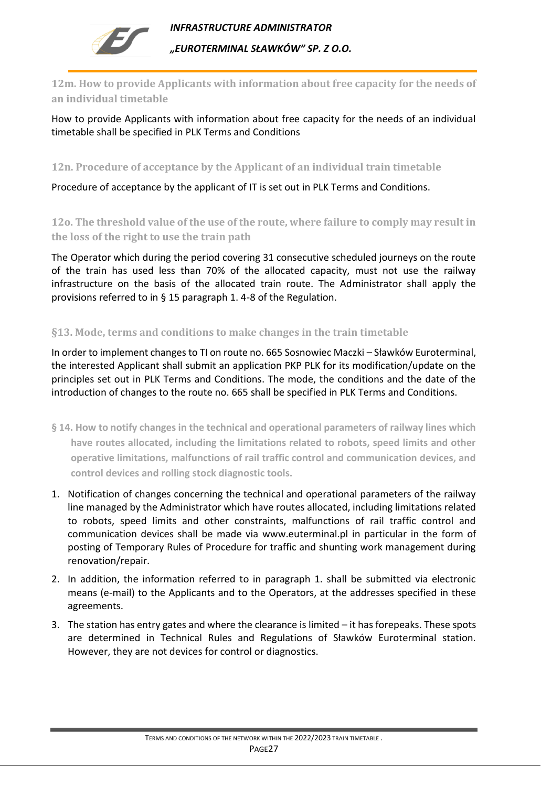

<span id="page-26-0"></span>**12m. How to provide Applicants with information about free capacity for the needs of an individual timetable**

How to provide Applicants with information about free capacity for the needs of an individual timetable shall be specified in PLK Terms and Conditions

<span id="page-26-1"></span>**12n. Procedure of acceptance by the Applicant of an individual train timetable**

<span id="page-26-2"></span>Procedure of acceptance by the applicant of IT is set out in PLK Terms and Conditions.

**12o. The threshold value of the use of the route, where failure to comply may result in the loss of the right to use the train path**

The Operator which during the period covering 31 consecutive scheduled journeys on the route of the train has used less than 70% of the allocated capacity, must not use the railway infrastructure on the basis of the allocated train route. The Administrator shall apply the provisions referred to in § 15 paragraph 1. 4-8 of the Regulation.

## <span id="page-26-3"></span>**§13. Mode, terms and conditions to make changes in the train timetable**

In order to implement changes to TI on route no. 665 Sosnowiec Maczki – Sławków Euroterminal, the interested Applicant shall submit an application PKP PLK for its modification/update on the principles set out in PLK Terms and Conditions. The mode, the conditions and the date of the introduction of changes to the route no. 665 shall be specified in PLK Terms and Conditions.

- <span id="page-26-4"></span>**§ 14. How to notify changes in the technical and operational parameters of railway lines which have routes allocated, including the limitations related to robots, speed limits and other operative limitations, malfunctions of rail traffic control and communication devices, and control devices and rolling stock diagnostic tools.**
- 1. Notification of changes concerning the technical and operational parameters of the railway line managed by the Administrator which have routes allocated, including limitations related to robots, speed limits and other constraints, malfunctions of rail traffic control and communication devices shall be made via [www.euterminal.pl](http://www.euterminal.pl/) in particular in the form of posting of Temporary Rules of Procedure for traffic and shunting work management during renovation/repair.
- 2. In addition, the information referred to in paragraph 1. shall be submitted via electronic means (e-mail) to the Applicants and to the Operators, at the addresses specified in these agreements.
- 3. The station has entry gates and where the clearance is limited it has forepeaks. These spots are determined in Technical Rules and Regulations of Sławków Euroterminal station. However, they are not devices for control or diagnostics.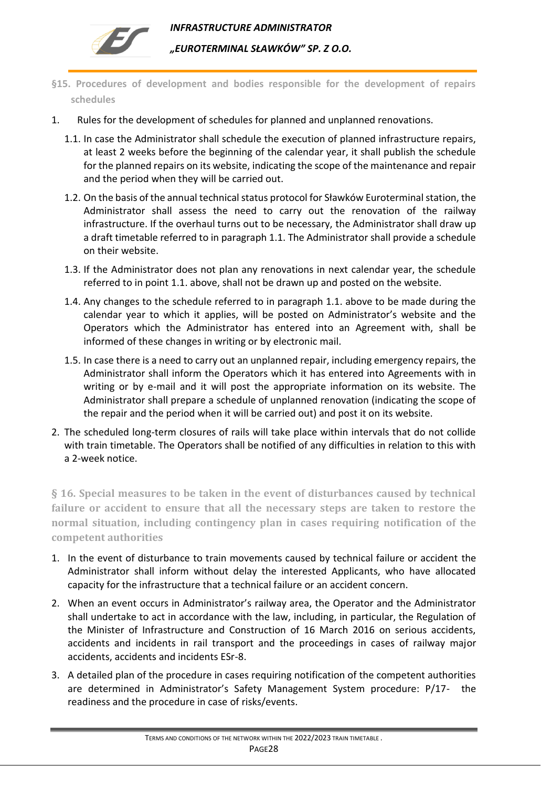

- <span id="page-27-0"></span>**§15. Procedures of development and bodies responsible for the development of repairs schedules**
- 1. Rules for the development of schedules for planned and unplanned renovations.
	- 1.1. In case the Administrator shall schedule the execution of planned infrastructure repairs, at least 2 weeks before the beginning of the calendar year, it shall publish the schedule for the planned repairs on its website, indicating the scope of the maintenance and repair and the period when they will be carried out.
	- 1.2. On the basis of the annual technical status protocol for Sławków Euroterminal station, the Administrator shall assess the need to carry out the renovation of the railway infrastructure. If the overhaul turns out to be necessary, the Administrator shall draw up a draft timetable referred to in paragraph 1.1. The Administrator shall provide a schedule on their website.
	- 1.3. If the Administrator does not plan any renovations in next calendar year, the schedule referred to in point 1.1. above, shall not be drawn up and posted on the website.
	- 1.4. Any changes to the schedule referred to in paragraph 1.1. above to be made during the calendar year to which it applies, will be posted on Administrator's website and the Operators which the Administrator has entered into an Agreement with, shall be informed of these changes in writing or by electronic mail.
	- 1.5. In case there is a need to carry out an unplanned repair, including emergency repairs, the Administrator shall inform the Operators which it has entered into Agreements with in writing or by e-mail and it will post the appropriate information on its website. The Administrator shall prepare a schedule of unplanned renovation (indicating the scope of the repair and the period when it will be carried out) and post it on its website.
- 2. The scheduled long-term closures of rails will take place within intervals that do not collide with train timetable. The Operators shall be notified of any difficulties in relation to this with a 2-week notice.

<span id="page-27-1"></span>**§ 16. Special measures to be taken in the event of disturbances caused by technical failure or accident to ensure that all the necessary steps are taken to restore the normal situation, including contingency plan in cases requiring notification of the competent authorities**

- 1. In the event of disturbance to train movements caused by technical failure or accident the Administrator shall inform without delay the interested Applicants, who have allocated capacity for the infrastructure that a technical failure or an accident concern.
- 2. When an event occurs in Administrator's railway area, the Operator and the Administrator shall undertake to act in accordance with the law, including, in particular, the Regulation of the Minister of Infrastructure and Construction of 16 March 2016 on serious accidents, accidents and incidents in rail transport and the proceedings in cases of railway major accidents, accidents and incidents ESr-8.
- 3. A detailed plan of the procedure in cases requiring notification of the competent authorities are determined in Administrator's Safety Management System procedure: P/17- the readiness and the procedure in case of risks/events.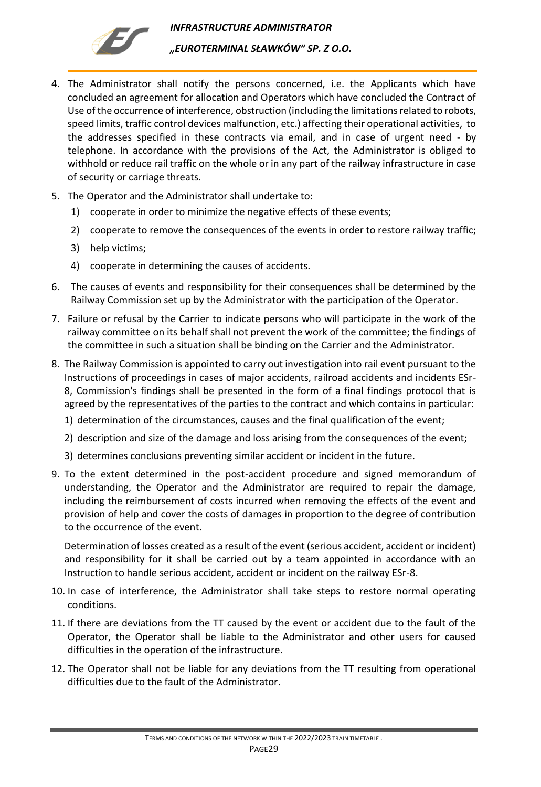

- 4. The Administrator shall notify the persons concerned, i.e. the Applicants which have concluded an agreement for allocation and Operators which have concluded the Contract of Use of the occurrence of interference, obstruction (including the limitations related to robots, speed limits, traffic control devices malfunction, etc.) affecting their operational activities, to the addresses specified in these contracts via email, and in case of urgent need - by telephone. In accordance with the provisions of the Act, the Administrator is obliged to withhold or reduce rail traffic on the whole or in any part of the railway infrastructure in case of security or carriage threats.
- 5. The Operator and the Administrator shall undertake to:
	- 1) cooperate in order to minimize the negative effects of these events;
	- 2) cooperate to remove the consequences of the events in order to restore railway traffic;
	- 3) help victims;
	- 4) cooperate in determining the causes of accidents.
- 6. The causes of events and responsibility for their consequences shall be determined by the Railway Commission set up by the Administrator with the participation of the Operator.
- 7. Failure or refusal by the Carrier to indicate persons who will participate in the work of the railway committee on its behalf shall not prevent the work of the committee; the findings of the committee in such a situation shall be binding on the Carrier and the Administrator.
- 8. The Railway Commission is appointed to carry out investigation into rail event pursuant to the Instructions of proceedings in cases of major accidents, railroad accidents and incidents ESr-8, Commission's findings shall be presented in the form of a final findings protocol that is agreed by the representatives of the parties to the contract and which contains in particular:
	- 1) determination of the circumstances, causes and the final qualification of the event;
	- 2) description and size of the damage and loss arising from the consequences of the event;
	- 3) determines conclusions preventing similar accident or incident in the future.
- 9. To the extent determined in the post-accident procedure and signed memorandum of understanding, the Operator and the Administrator are required to repair the damage, including the reimbursement of costs incurred when removing the effects of the event and provision of help and cover the costs of damages in proportion to the degree of contribution to the occurrence of the event.

Determination of losses created as a result of the event (serious accident, accident or incident) and responsibility for it shall be carried out by a team appointed in accordance with an Instruction to handle serious accident, accident or incident on the railway ESr-8.

- 10. In case of interference, the Administrator shall take steps to restore normal operating conditions.
- 11. If there are deviations from the TT caused by the event or accident due to the fault of the Operator, the Operator shall be liable to the Administrator and other users for caused difficulties in the operation of the infrastructure.
- 12. The Operator shall not be liable for any deviations from the TT resulting from operational difficulties due to the fault of the Administrator.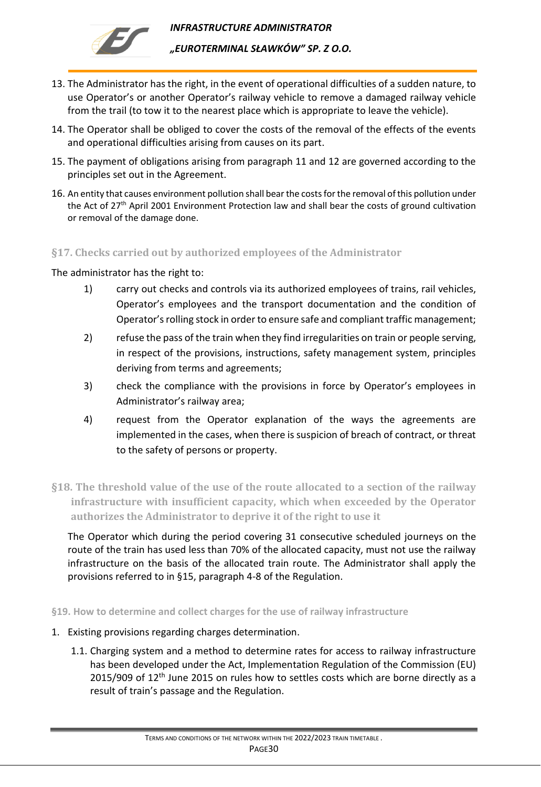

*"EUROTERMINAL SŁAWKÓW" SP. Z O.O.* 

- 13. The Administrator has the right, in the event of operational difficulties of a sudden nature, to use Operator's or another Operator's railway vehicle to remove a damaged railway vehicle from the trail (to tow it to the nearest place which is appropriate to leave the vehicle).
- 14. The Operator shall be obliged to cover the costs of the removal of the effects of the events and operational difficulties arising from causes on its part.
- 15. The payment of obligations arising from paragraph 11 and 12 are governed according to the principles set out in the Agreement.
- 16. An entity that causes environment pollution shall bear the costs for the removal of this pollution under the Act of 27<sup>th</sup> April 2001 Environment Protection law and shall bear the costs of ground cultivation or removal of the damage done.

## <span id="page-29-0"></span>**§17. Checks carried out by authorized employees of the Administrator**

### The administrator has the right to:

- 1) carry out checks and controls via its authorized employees of trains, rail vehicles, Operator's employees and the transport documentation and the condition of Operator's rolling stock in order to ensure safe and compliant traffic management;
- 2) refuse the pass of the train when they find irregularities on train or people serving, in respect of the provisions, instructions, safety management system, principles deriving from terms and agreements;
- 3) check the compliance with the provisions in force by Operator's employees in Administrator's railway area;
- 4) request from the Operator explanation of the ways the agreements are implemented in the cases, when there is suspicion of breach of contract, or threat to the safety of persons or property.
- <span id="page-29-1"></span>**§18. The threshold value of the use of the route allocated to a section of the railway infrastructure with insufficient capacity, which when exceeded by the Operator authorizes the Administrator to deprive it of the right to use it**

The Operator which during the period covering 31 consecutive scheduled journeys on the route of the train has used less than 70% of the allocated capacity, must not use the railway infrastructure on the basis of the allocated train route. The Administrator shall apply the provisions referred to in §15, paragraph 4-8 of the Regulation.

<span id="page-29-2"></span>**§19. How to determine and collect charges for the use of railway infrastructure**

- 1. Existing provisions regarding charges determination.
	- 1.1. Charging system and a method to determine rates for access to railway infrastructure has been developed under the Act, Implementation Regulation of the Commission (EU)  $2015/909$  of  $12<sup>th</sup>$  June 2015 on rules how to settles costs which are borne directly as a result of train's passage and the Regulation.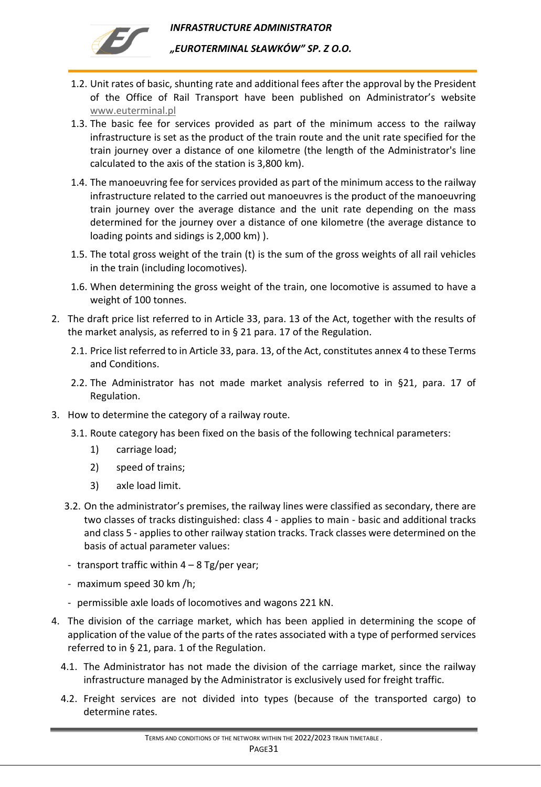

- 1.2. Unit rates of basic, shunting rate and additional fees after the approval by the President of the Office of Rail Transport have been published on Administrator's website [www.euterminal.pl](http://www.euterminal.pl/)
- 1.3. The basic fee for services provided as part of the minimum access to the railway infrastructure is set as the product of the train route and the unit rate specified for the train journey over a distance of one kilometre (the length of the Administrator's line calculated to the axis of the station is 3,800 km).
- 1.4. The manoeuvring fee for services provided as part of the minimum access to the railway infrastructure related to the carried out manoeuvres is the product of the manoeuvring train journey over the average distance and the unit rate depending on the mass determined for the journey over a distance of one kilometre (the average distance to loading points and sidings is 2,000 km) ).
- 1.5. The total gross weight of the train (t) is the sum of the gross weights of all rail vehicles in the train (including locomotives).
- 1.6. When determining the gross weight of the train, one locomotive is assumed to have a weight of 100 tonnes.
- 2. The draft price list referred to in Article 33, para. 13 of the Act, together with the results of the market analysis, as referred to in § 21 para. 17 of the Regulation.
	- 2.1. Price list referred to in Article 33, para. 13, of the Act, constitutes annex 4 to these Terms and Conditions.
	- 2.2. The Administrator has not made market analysis referred to in §21, para. 17 of Regulation.
- 3. How to determine the category of a railway route.
	- 3.1. Route category has been fixed on the basis of the following technical parameters:
		- 1) carriage load;
		- 2) speed of trains;
		- 3) axle load limit.
	- 3.2. On the administrator's premises, the railway lines were classified as secondary, there are two classes of tracks distinguished: class 4 - applies to main - basic and additional tracks and class 5 - applies to other railway station tracks. Track classes were determined on the basis of actual parameter values:
	- transport traffic within  $4 8$  Tg/per year;
	- maximum speed 30 km /h;
	- permissible axle loads of locomotives and wagons 221 kN.
- 4. The division of the carriage market, which has been applied in determining the scope of application of the value of the parts of the rates associated with a type of performed services referred to in § 21, para. 1 of the Regulation.
	- 4.1. The Administrator has not made the division of the carriage market, since the railway infrastructure managed by the Administrator is exclusively used for freight traffic.
	- 4.2. Freight services are not divided into types (because of the transported cargo) to determine rates.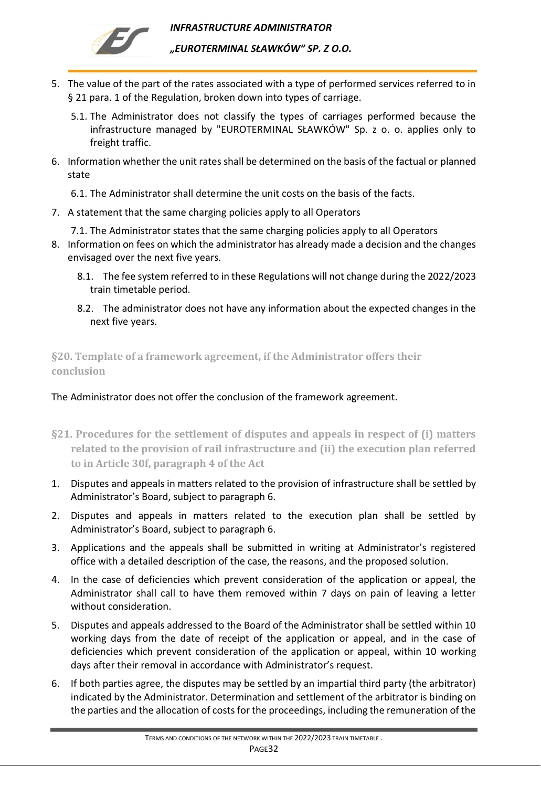



*"EUROTERMINAL SŁAWKÓW" SP. Z O.O.* 

- 5. The value of the part of the rates associated with a type of performed services referred to in § 21 para. 1 of the Regulation, broken down into types of carriage.
	- 5.1. The Administrator does not classify the types of carriages performed because the infrastructure managed by "EUROTERMINAL SŁAWKÓW" Sp. z o. o. applies only to freight traffic.
- 6. Information whether the unit rates shall be determined on the basis of the factual or planned state

6.1. The Administrator shall determine the unit costs on the basis of the facts.

- 7. A statement that the same charging policies apply to all Operators
	- 7.1. The Administrator states that the same charging policies apply to all Operators
- 8. Information on fees on which the administrator has already made a decision and the changes envisaged over the next five years.
	- 8.1. The fee system referred to in these Regulations will not change during the 2022/2023 train timetable period.
	- 8.2. The administrator does not have any information about the expected changes in the next five years.

<span id="page-31-0"></span>**§20. Template of a framework agreement, if the Administrator offers their conclusion**

The Administrator does not offer the conclusion of the framework agreement.

- <span id="page-31-1"></span>**§21. Procedures for the settlement of disputes and appeals in respect of (i) matters related to the provision of rail infrastructure and (ii) the execution plan referred to in Article 30f, paragraph 4 of the Act**
- 1. Disputes and appeals in matters related to the provision of infrastructure shall be settled by Administrator's Board, subject to paragraph 6.
- 2. Disputes and appeals in matters related to the execution plan shall be settled by Administrator's Board, subject to paragraph 6.
- 3. Applications and the appeals shall be submitted in writing at Administrator's registered office with a detailed description of the case, the reasons, and the proposed solution.
- 4. In the case of deficiencies which prevent consideration of the application or appeal, the Administrator shall call to have them removed within 7 days on pain of leaving a letter without consideration.
- 5. Disputes and appeals addressed to the Board of the Administrator shall be settled within 10 working days from the date of receipt of the application or appeal, and in the case of deficiencies which prevent consideration of the application or appeal, within 10 working days after their removal in accordance with Administrator's request.
- 6. If both parties agree, the disputes may be settled by an impartial third party (the arbitrator) indicated by the Administrator. Determination and settlement of the arbitrator is binding on the parties and the allocation of costs for the proceedings, including the remuneration of the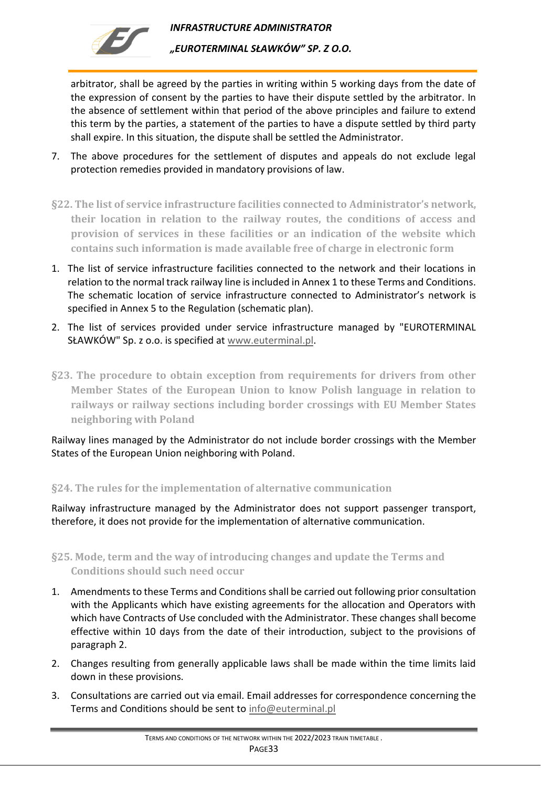

arbitrator, shall be agreed by the parties in writing within 5 working days from the date of the expression of consent by the parties to have their dispute settled by the arbitrator. In the absence of settlement within that period of the above principles and failure to extend this term by the parties, a statement of the parties to have a dispute settled by third party shall expire. In this situation, the dispute shall be settled the Administrator.

- 7. The above procedures for the settlement of disputes and appeals do not exclude legal protection remedies provided in mandatory provisions of law.
- <span id="page-32-0"></span>**§22. The list of service infrastructure facilities connected to Administrator's network, their location in relation to the railway routes, the conditions of access and provision of services in these facilities or an indication of the website which contains such information is made available free of charge in electronic form**
- 1. The list of service infrastructure facilities connected to the network and their locations in relation to the normal track railway line is included in Annex 1 to these Terms and Conditions. The schematic location of service infrastructure connected to Administrator's network is specified in Annex 5 to the Regulation (schematic plan).
- 2. The list of services provided under service infrastructure managed by "EUROTERMINAL SŁAWKÓW" Sp. z o.o. is specified at [www.euterminal.pl.](http://www.euterminal.pl/)
- <span id="page-32-1"></span>**§23. The procedure to obtain exception from requirements for drivers from other Member States of the European Union to know Polish language in relation to railways or railway sections including border crossings with EU Member States neighboring with Poland**

Railway lines managed by the Administrator do not include border crossings with the Member States of the European Union neighboring with Poland.

## <span id="page-32-2"></span>**§24. The rules for the implementation of alternative communication**

Railway infrastructure managed by the Administrator does not support passenger transport, therefore, it does not provide for the implementation of alternative communication.

<span id="page-32-3"></span>**§25. Mode, term and the way of introducing changes and update the Terms and Conditions should such need occur** 

- 1. Amendments to these Terms and Conditions shall be carried out following prior consultation with the Applicants which have existing agreements for the allocation and Operators with which have Contracts of Use concluded with the Administrator. These changes shall become effective within 10 days from the date of their introduction, subject to the provisions of paragraph 2.
- 2. Changes resulting from generally applicable laws shall be made within the time limits laid down in these provisions.
- 3. Consultations are carried out via email. Email addresses for correspondence concerning the Terms and Conditions should be sent to [info@euterminal.pl](mailto:info@euterminal.pl)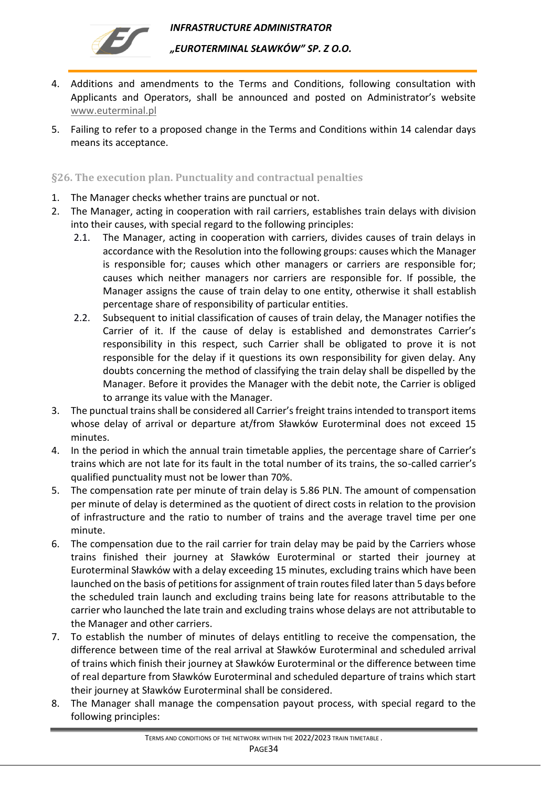

- 4. Additions and amendments to the Terms and Conditions, following consultation with Applicants and Operators, shall be announced and posted on Administrator's website [www.euterminal.pl](http://www.euterminal.pl/)
- 5. Failing to refer to a proposed change in the Terms and Conditions within 14 calendar days means its acceptance.

<span id="page-33-0"></span>**§26. The execution plan. Punctuality and contractual penalties**

- 1. The Manager checks whether trains are punctual or not.
- 2. The Manager, acting in cooperation with rail carriers, establishes train delays with division into their causes, with special regard to the following principles:
	- 2.1. The Manager, acting in cooperation with carriers, divides causes of train delays in accordance with the Resolution into the following groups: causes which the Manager is responsible for; causes which other managers or carriers are responsible for; causes which neither managers nor carriers are responsible for. If possible, the Manager assigns the cause of train delay to one entity, otherwise it shall establish percentage share of responsibility of particular entities.
	- 2.2. Subsequent to initial classification of causes of train delay, the Manager notifies the Carrier of it. If the cause of delay is established and demonstrates Carrier's responsibility in this respect, such Carrier shall be obligated to prove it is not responsible for the delay if it questions its own responsibility for given delay. Any doubts concerning the method of classifying the train delay shall be dispelled by the Manager. Before it provides the Manager with the debit note, the Carrier is obliged to arrange its value with the Manager.
- 3. The punctual trains shall be considered all Carrier's freight trains intended to transport items whose delay of arrival or departure at/from Sławków Euroterminal does not exceed 15 minutes.
- 4. In the period in which the annual train timetable applies, the percentage share of Carrier's trains which are not late for its fault in the total number of its trains, the so-called carrier's qualified punctuality must not be lower than 70%.
- 5. The compensation rate per minute of train delay is 5.86 PLN. The amount of compensation per minute of delay is determined as the quotient of direct costs in relation to the provision of infrastructure and the ratio to number of trains and the average travel time per one minute.
- 6. The compensation due to the rail carrier for train delay may be paid by the Carriers whose trains finished their journey at Sławków Euroterminal or started their journey at Euroterminal Sławków with a delay exceeding 15 minutes, excluding trains which have been launched on the basis of petitions for assignment of train routes filed later than 5 days before the scheduled train launch and excluding trains being late for reasons attributable to the carrier who launched the late train and excluding trains whose delays are not attributable to the Manager and other carriers.
- 7. To establish the number of minutes of delays entitling to receive the compensation, the difference between time of the real arrival at Sławków Euroterminal and scheduled arrival of trains which finish their journey at Sławków Euroterminal or the difference between time of real departure from Sławków Euroterminal and scheduled departure of trains which start their journey at Sławków Euroterminal shall be considered.
- 8. The Manager shall manage the compensation payout process, with special regard to the following principles: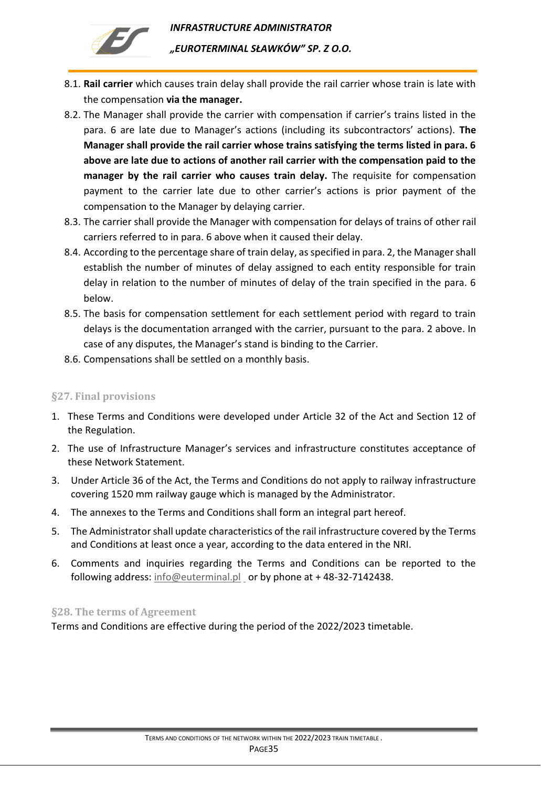

- 8.1. **Rail carrier** which causes train delay shall provide the rail carrier whose train is late with the compensation **via the manager.**
- 8.2. The Manager shall provide the carrier with compensation if carrier's trains listed in the para. 6 are late due to Manager's actions (including its subcontractors' actions). **The Manager shall provide the rail carrier whose trains satisfying the terms listed in para. 6 above are late due to actions of another rail carrier with the compensation paid to the manager by the rail carrier who causes train delay.** The requisite for compensation payment to the carrier late due to other carrier's actions is prior payment of the compensation to the Manager by delaying carrier.
- 8.3. The carrier shall provide the Manager with compensation for delays of trains of other rail carriers referred to in para. 6 above when it caused their delay.
- 8.4. According to the percentage share of train delay, as specified in para. 2, the Manager shall establish the number of minutes of delay assigned to each entity responsible for train delay in relation to the number of minutes of delay of the train specified in the para. 6 below.
- 8.5. The basis for compensation settlement for each settlement period with regard to train delays is the documentation arranged with the carrier, pursuant to the para. 2 above. In case of any disputes, the Manager's stand is binding to the Carrier.
- 8.6. Compensations shall be settled on a monthly basis.

## <span id="page-34-0"></span>**§27. Final provisions**

- 1. These Terms and Conditions were developed under Article 32 of the Act and Section 12 of the Regulation.
- 2. The use of Infrastructure Manager's services and infrastructure constitutes acceptance of these Network Statement.
- 3. Under Article 36 of the Act, the Terms and Conditions do not apply to railway infrastructure covering 1520 mm railway gauge which is managed by the Administrator.
- 4. The annexes to the Terms and Conditions shall form an integral part hereof.
- 5. The Administrator shall update characteristics of the rail infrastructure covered by the Terms and Conditions at least once a year, according to the data entered in the NRI.
- 6. Comments and inquiries regarding the Terms and Conditions can be reported to the following address:  $info@euterminal.pl$  or by phone at +48-32-7142438.

### <span id="page-34-1"></span>**§28. The terms of Agreement**

Terms and Conditions are effective during the period of the 2022/2023 timetable.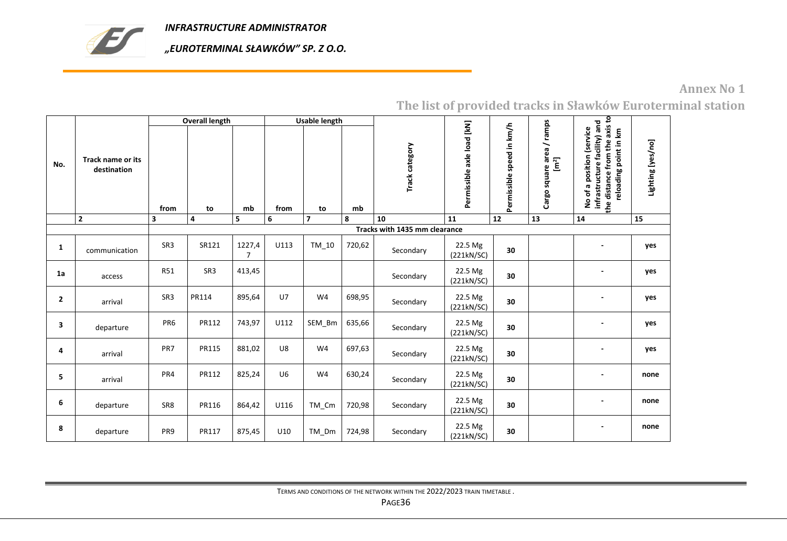

*"EUROTERMINAL SŁAWKÓW" SP. Z O.O.* 

## **Annex No 1**

<span id="page-35-0"></span>

|                |                                  |                         | <b>Overall length</b> |             |                | <b>Usable length</b> |        |                               |                            |                           |                                                 |                                                                                                                     |                   |
|----------------|----------------------------------|-------------------------|-----------------------|-------------|----------------|----------------------|--------|-------------------------------|----------------------------|---------------------------|-------------------------------------------------|---------------------------------------------------------------------------------------------------------------------|-------------------|
| No.            | Track name or its<br>destination | from                    | to                    | mb          | from           | to                   | mb     | Track category                | Permissible axle load [kN] | Permissible speed in km/h | Cargo square area / ramps<br>$[ \mathsf{m}^2 ]$ | the distance from the axis to<br>No of a position (service<br>infrastructure facility) and<br>reloading point in km | Lighting [yes/no] |
|                | $\mathbf{2}$                     | $\overline{\mathbf{3}}$ | 4                     | 5           | 6              | $\overline{7}$       | 8      | 10                            | 11                         | 12                        | 13                                              | 14                                                                                                                  | 15                |
|                |                                  |                         |                       |             |                |                      |        | Tracks with 1435 mm clearance |                            |                           |                                                 |                                                                                                                     |                   |
| 1              | communication                    | SR <sub>3</sub>         | SR121                 | 1227,4<br>7 | U113           | TM_10                | 720,62 | Secondary                     | 22.5 Mg<br>(221kN/SC)      | 30                        |                                                 | $\overline{\phantom{a}}$                                                                                            | yes               |
| 1a             | access                           | <b>R51</b>              | SR <sub>3</sub>       | 413,45      |                |                      |        | Secondary                     | 22.5 Mg<br>(221kN/SC)      | 30                        |                                                 |                                                                                                                     | yes               |
| $\overline{2}$ | arrival                          | SR <sub>3</sub>         | PR114                 | 895,64      | $U$ 7          | W4                   | 698,95 | Secondary                     | 22.5 Mg<br>(221kN/SC)      | 30                        |                                                 |                                                                                                                     | yes               |
| 3              | departure                        | PR <sub>6</sub>         | PR112                 | 743,97      | U112           | SEM_Bm               | 635,66 | Secondary                     | 22.5 Mg<br>(221kN/SC)      | 30                        |                                                 |                                                                                                                     | yes               |
| 4              | arrival                          | PR7                     | PR115                 | 881,02      | U8             | W4                   | 697,63 | Secondary                     | 22.5 Mg<br>(221kN/SC)      | 30                        |                                                 | $\overline{\phantom{a}}$                                                                                            | yes               |
| 5              | arrival                          | PR4                     | PR112                 | 825,24      | U <sub>6</sub> | W4                   | 630,24 | Secondary                     | 22.5 Mg<br>(221kN/SC)      | 30                        |                                                 | $\overline{\phantom{a}}$                                                                                            | none              |
| 6              | departure                        | SR <sub>8</sub>         | PR116                 | 864,42      | U116           | TM_Cm                | 720,98 | Secondary                     | 22.5 Mg<br>(221kN/SC)      | 30                        |                                                 | $\overline{\phantom{a}}$                                                                                            | none              |
| 8              | departure                        | PR <sub>9</sub>         | PR117                 | 875,45      | U10            | TM_Dm                | 724,98 | Secondary                     | 22.5 Mg<br>(221kN/SC)      | 30                        |                                                 |                                                                                                                     | none              |

**The list of provided tracks in Sławków Euroterminal station**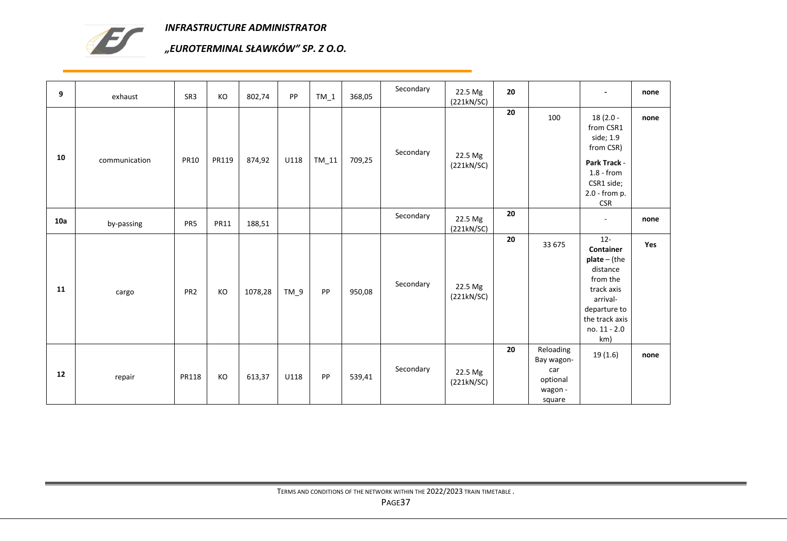

| 9   | exhaust       | SR3             | КO          | 802,74  | PP     | $TM_1$  | 368,05 | Secondary | 22.5 Mg<br>(221kN/SC) | 20 |                                                                 |                                                                                                                                                  | none |
|-----|---------------|-----------------|-------------|---------|--------|---------|--------|-----------|-----------------------|----|-----------------------------------------------------------------|--------------------------------------------------------------------------------------------------------------------------------------------------|------|
| 10  | communication | <b>PR10</b>     | PR119       | 874,92  | U118   | $TM_11$ | 709,25 | Secondary | 22.5 Mg<br>(221kN/SC) | 20 | 100                                                             | $18(2.0 -$<br>from CSR1<br>side; 1.9<br>from CSR)<br>Park Track -<br>$1.8 - from$<br>CSR1 side;<br>2.0 - from p.<br><b>CSR</b>                   | none |
| 10a | by-passing    | PR5             | <b>PR11</b> | 188,51  |        |         |        | Secondary | 22.5 Mg<br>(221kN/SC) | 20 |                                                                 | $\overline{\phantom{a}}$                                                                                                                         | none |
| 11  | cargo         | PR <sub>2</sub> | KO          | 1078,28 | $TM_9$ | PP      | 950,08 | Secondary | 22.5 Mg<br>(221kN/SC) | 20 | 33 675                                                          | $12 -$<br>Container<br>$plate - (the$<br>distance<br>from the<br>track axis<br>arrival-<br>departure to<br>the track axis<br>no. 11 - 2.0<br>km) | Yes  |
| 12  | repair        | PR118           | КO          | 613,37  | U118   | PP      | 539,41 | Secondary | 22.5 Mg<br>(221kN/SC) | 20 | Reloading<br>Bay wagon-<br>car<br>optional<br>wagon -<br>square | 19(1.6)                                                                                                                                          | none |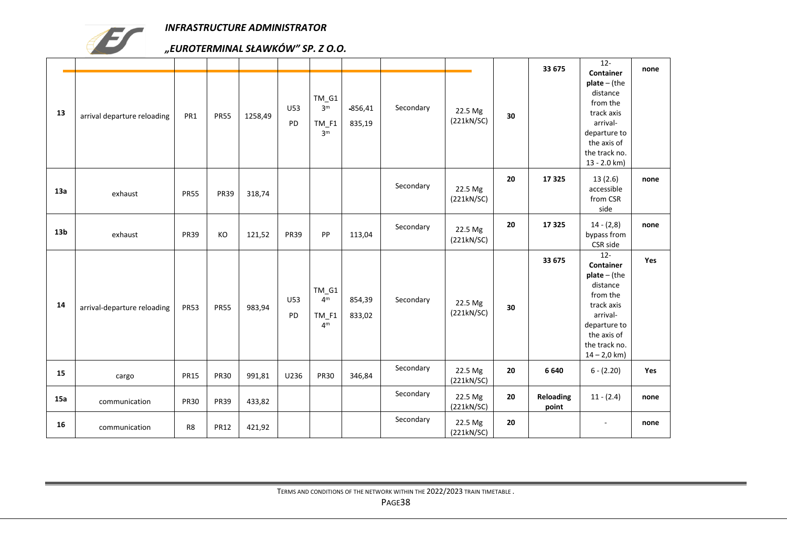

| 13              | arrival departure reloading | PR1            | <b>PR55</b> | 1258,49 | U53<br>PD        | TM_G1<br>3 <sup>m</sup><br>$TM_F1$<br>3 <sup>m</sup>   | $-856,41$<br>835,19 | Secondary | 22.5 Mg<br>(221kN/SC) | 30 | 33 675             | $12 -$<br>Container<br>$plate - (the$<br>distance<br>from the<br>track axis<br>arrival-<br>departure to<br>the axis of<br>the track no.<br>13 - 2.0 km)   | none |
|-----------------|-----------------------------|----------------|-------------|---------|------------------|--------------------------------------------------------|---------------------|-----------|-----------------------|----|--------------------|-----------------------------------------------------------------------------------------------------------------------------------------------------------|------|
| 13a             | exhaust                     | <b>PR55</b>    | <b>PR39</b> | 318,74  |                  |                                                        |                     | Secondary | 22.5 Mg<br>(221kN/SC) | 20 | 17325              | 13(2.6)<br>accessible<br>from CSR<br>side                                                                                                                 | none |
| 13 <sub>b</sub> | exhaust                     | <b>PR39</b>    | KO          | 121,52  | <b>PR39</b>      | PP                                                     | 113,04              | Secondary | 22.5 Mg<br>(221kN/SC) | 20 | 17325              | $14 - (2,8)$<br>bypass from<br>CSR side                                                                                                                   | none |
| 14              | arrival-departure reloading | <b>PR53</b>    | <b>PR55</b> | 983,94  | U53<br><b>PD</b> | $TM_G1$<br>4 <sup>m</sup><br>$TM_F1$<br>4 <sup>m</sup> | 854,39<br>833,02    | Secondary | 22.5 Mg<br>(221kN/SC) | 30 | 33 675             | $12 -$<br>Container<br>$plate - (the$<br>distance<br>from the<br>track axis<br>arrival-<br>departure to<br>the axis of<br>the track no.<br>$14 - 2,0$ km) | Yes  |
| 15              | cargo                       | <b>PR15</b>    | <b>PR30</b> | 991,81  | U236             | <b>PR30</b>                                            | 346,84              | Secondary | 22.5 Mg<br>(221kN/SC) | 20 | 6640               | $6 - (2.20)$                                                                                                                                              | Yes  |
| 15a             | communication               | <b>PR30</b>    | <b>PR39</b> | 433,82  |                  |                                                        |                     | Secondary | 22.5 Mg<br>(221kN/SC) | 20 | Reloading<br>point | $11 - (2.4)$                                                                                                                                              | none |
| 16              | communication               | R <sub>8</sub> | <b>PR12</b> | 421,92  |                  |                                                        |                     | Secondary | 22.5 Mg<br>(221kN/SC) | 20 |                    | $\overline{\phantom{a}}$                                                                                                                                  | none |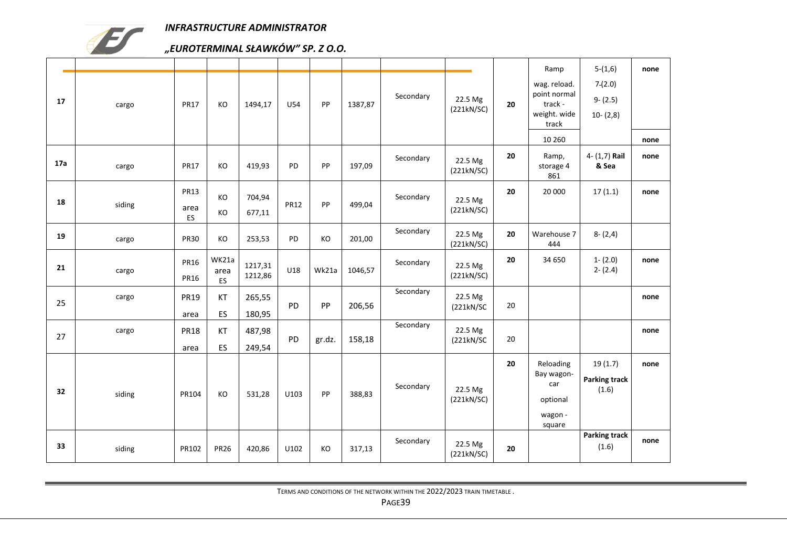

|     |        |                                  |                            |                    |             |        |         |           |                       |    | Ramp                                                             | $5-(1,6)$                                | none |
|-----|--------|----------------------------------|----------------------------|--------------------|-------------|--------|---------|-----------|-----------------------|----|------------------------------------------------------------------|------------------------------------------|------|
| 17  | cargo  | <b>PR17</b>                      | KO                         | 1494,17            | U54         | PP     | 1387,87 | Secondary | 22.5 Mg<br>(221kN/SC) | 20 | wag. reload.<br>point normal<br>track -<br>weight. wide<br>track | 7(2.0)<br>$9 - (2.5)$<br>$10-(2,8)$      |      |
|     |        |                                  |                            |                    |             |        |         |           |                       |    | 10 260                                                           |                                          | none |
| 17a | cargo  | <b>PR17</b>                      | KO                         | 419,93             | <b>PD</b>   | PP     | 197,09  | Secondary | 22.5 Mg<br>(221kN/SC) | 20 | Ramp,<br>storage 4<br>861                                        | 4- (1,7) Rail<br>& Sea                   | none |
| 18  | siding | <b>PR13</b><br>area<br><b>ES</b> | KO<br>KO                   | 704,94<br>677,11   | <b>PR12</b> | PP     | 499,04  | Secondary | 22.5 Mg<br>(221kN/SC) | 20 | 20 000                                                           | 17(1.1)                                  | none |
| 19  | cargo  | <b>PR30</b>                      | KO                         | 253,53             | PD          | KO     | 201,00  | Secondary | 22.5 Mg<br>(221kN/SC) | 20 | Warehouse 7<br>444                                               | $8 - (2, 4)$                             |      |
| 21  | cargo  | <b>PR16</b><br><b>PR16</b>       | WK21a<br>area<br><b>ES</b> | 1217,31<br>1212,86 | U18         | Wk21a  | 1046,57 | Secondary | 22.5 Mg<br>(221kN/SC) | 20 | 34 650                                                           | $1 - (2.0)$<br>$2 - (2.4)$               | none |
| 25  | cargo  | <b>PR19</b><br>area              | KT<br>ES                   | 265,55<br>180,95   | PD          | PP     | 206,56  | Secondary | 22.5 Mg<br>(221kN/SC) | 20 |                                                                  |                                          | none |
| 27  | cargo  | <b>PR18</b><br>area              | KT<br>ES                   | 487,98<br>249,54   | PD          | gr.dz. | 158,18  | Secondary | 22.5 Mg<br>(221kN/SC) | 20 |                                                                  |                                          | none |
| 32  | siding | PR104                            | KO                         | 531,28             | U103        | PP     | 388,83  | Secondary | 22.5 Mg<br>(221kN/SC) | 20 | Reloading<br>Bay wagon-<br>car<br>optional<br>wagon -<br>square  | 19(1.7)<br><b>Parking track</b><br>(1.6) | none |
| 33  | siding | PR102                            | <b>PR26</b>                | 420,86             | U102        | KO     | 317,13  | Secondary | 22.5 Mg<br>(221kN/SC) | 20 |                                                                  | <b>Parking track</b><br>(1.6)            | none |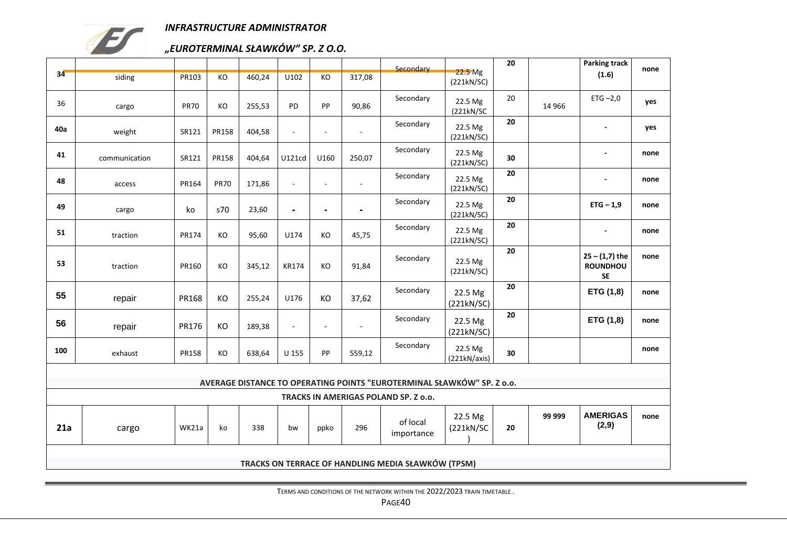

## *"EUROTERMINAL SŁAWKÓW" SP. Z O.O.*

|     |               |              |             |        |                |                          |                | Secondary                                                              |                                  | 20 |         | <b>Parking track</b>                      | none |
|-----|---------------|--------------|-------------|--------|----------------|--------------------------|----------------|------------------------------------------------------------------------|----------------------------------|----|---------|-------------------------------------------|------|
| 34  | siding        | <b>PR103</b> | KO          | 460,24 | U102           | KO                       | 317,08         |                                                                        | 22.5 <sub>Mg</sub><br>(221kN/SC) |    |         | (1.6)                                     |      |
| 36  | cargo         | <b>PR70</b>  | KO          | 255,53 | PD             | PP                       | 90,86          | Secondary                                                              | 22.5 Mg<br>(221kN/SC)            | 20 | 14 9 66 | ETG $-2,0$                                | yes  |
| 40a | weight        | SR121        | PR158       | 404,58 | $\sim$         | $\bar{a}$                | $\blacksquare$ | Secondary                                                              | 22.5 Mg<br>(221kN/SC)            | 20 |         | $\blacksquare$                            | yes  |
| 41  | communication | SR121        | PR158       | 404,64 | U121cd         | U160                     | 250,07         | Secondary                                                              | 22.5 Mg<br>(221kN/SC)            | 30 |         | $\overline{\phantom{a}}$                  | none |
| 48  | access        | PR164        | <b>PR70</b> | 171,86 | $\sim$         | $\overline{a}$           | $\sim$         | Secondary                                                              | 22.5 Mg<br>(221kN/SC)            | 20 |         | $\blacksquare$                            | none |
| 49  | cargo         | ko           | s70         | 23,60  | ä,             | $\blacksquare$           | $\blacksquare$ | Secondary                                                              | 22.5 Mg<br>(221kN/SC)            | 20 |         | $ETG - 1,9$                               | none |
| 51  | traction      | PR174        | KO          | 95,60  | U174           | КO                       | 45,75          | Secondary                                                              | 22.5 Mg<br>(221kN/SC)            | 20 |         | $\blacksquare$                            | none |
| 53  | traction      | PR160        | КO          | 345,12 | KR174          | KO                       | 91,84          | Secondary                                                              | 22.5 Mg<br>(221kN/SC)            | 20 |         | $25 - (1,7)$ the<br><b>ROUNDHOU</b><br>SE | none |
| 55  | repair        | PR168        | KO          | 255,24 | U176           | KO                       | 37,62          | Secondary                                                              | 22.5 Mg<br>(221kN/SC)            | 20 |         | ETG (1,8)                                 | none |
| 56  | repair        | PR176        | KO          | 189,38 | $\blacksquare$ | $\overline{\phantom{a}}$ | $\blacksquare$ | Secondary                                                              | 22.5 Mg<br>(221kN/SC)            | 20 |         | ETG (1,8)                                 | none |
| 100 | exhaust       | PR158        | KO          | 638,64 | U 155          | PP                       | 559,12         | Secondary                                                              | 22.5 Mg<br>(221kN/axis)          | 30 |         |                                           | none |
|     |               |              |             |        |                |                          |                | AVERAGE DISTANCE TO OPERATING POINTS "EUROTERMINAL SŁAWKÓW" SP. Z o.o. |                                  |    |         |                                           |      |
|     |               |              |             |        |                |                          |                | TRACKS IN AMERIGAS POLAND SP. Z o.o.                                   |                                  |    |         |                                           |      |
| 21a | cargo         | WK21a        | ko          | 338    | bw             | ppko                     | 296            | of local<br>importance                                                 | 22.5 Mg<br>(221kN/SC)            | 20 | 99 999  | <b>AMERIGAS</b><br>(2,9)                  | none |
|     |               |              |             |        |                |                          |                | TRACKS ON TERRACE OF HANDLING MEDIA SŁAWKÓW (TPSM)                     |                                  |    |         |                                           |      |
|     |               |              |             |        |                |                          |                |                                                                        |                                  |    |         |                                           |      |

TERMS AND CONDITIONS OF THE NETWORK WITHIN THE 2022/2023 TRAIN TIMETABLE .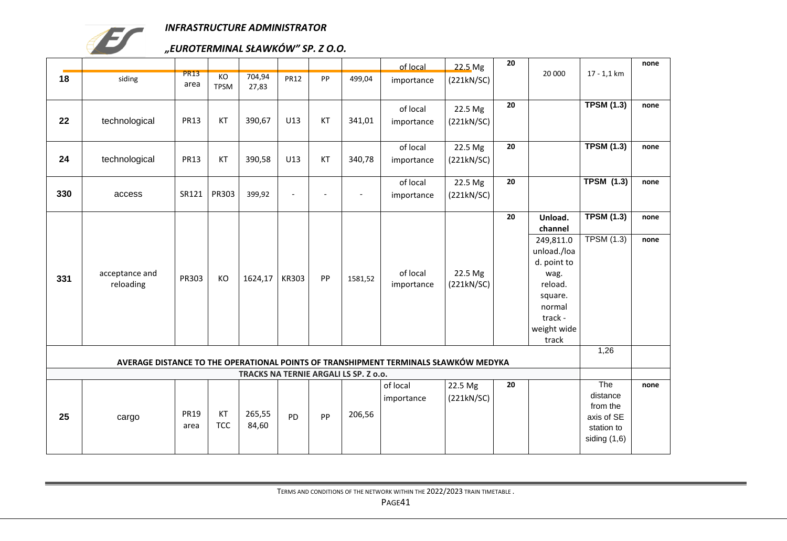

## *"EUROTERMINAL SŁAWKÓW" SP. Z O.O.*

|     |                             |                     |                   |                                       |                |                          |                | of local                                                                            | 22.5 Mg               | 20 |                                                                                                                    |                                                                           | none |
|-----|-----------------------------|---------------------|-------------------|---------------------------------------|----------------|--------------------------|----------------|-------------------------------------------------------------------------------------|-----------------------|----|--------------------------------------------------------------------------------------------------------------------|---------------------------------------------------------------------------|------|
| 18  | siding                      | <b>PR13</b><br>area | KO<br><b>TPSM</b> | 704,94<br>27,83                       | <b>PR12</b>    | PP                       | 499,04         | importance                                                                          | (221kN/SC)            |    | 20 000                                                                                                             | $17 - 1,1$ km                                                             |      |
| 22  | technological               | <b>PR13</b>         | KT                | 390,67                                | U13            | KT                       | 341,01         | of local<br>importance                                                              | 22.5 Mg<br>(221kN/SC) | 20 |                                                                                                                    | <b>TPSM (1.3)</b>                                                         | none |
| 24  | technological               | <b>PR13</b>         | KT                | 390,58                                | U13            | KT                       | 340,78         | of local<br>importance                                                              | 22.5 Mg<br>(221kN/SC) | 20 |                                                                                                                    | <b>TPSM (1.3)</b>                                                         | none |
| 330 | access                      | SR121               | PR303             | 399,92                                | $\blacksquare$ | $\overline{\phantom{a}}$ | $\blacksquare$ | of local<br>importance                                                              | 22.5 Mg<br>(221kN/SC) | 20 |                                                                                                                    | <b>TPSM (1.3)</b>                                                         | none |
|     |                             |                     |                   |                                       |                |                          |                |                                                                                     |                       | 20 | Unload.<br>channel                                                                                                 | <b>TPSM (1.3)</b>                                                         | none |
| 331 | acceptance and<br>reloading | PR303               | KO                | 1624,17                               | KR303          | PP                       | 1581,52        | of local<br>importance                                                              | 22.5 Mg<br>(221kN/SC) |    | 249,811.0<br>unload./loa<br>d. point to<br>wag.<br>reload.<br>square.<br>normal<br>track -<br>weight wide<br>track | <b>TPSM (1.3)</b>                                                         | none |
|     |                             |                     |                   |                                       |                |                          |                | AVERAGE DISTANCE TO THE OPERATIONAL POINTS OF TRANSHIPMENT TERMINALS SŁAWKÓW MEDYKA |                       |    |                                                                                                                    | 1,26                                                                      |      |
|     |                             |                     |                   | TRACKS NA TERNIE ARGALI LS SP. Z o.o. |                |                          |                |                                                                                     |                       |    |                                                                                                                    |                                                                           |      |
| 25  | cargo                       | <b>PR19</b><br>area | KT<br><b>TCC</b>  | 265,55<br>84,60                       | PD             | PP                       | 206,56         | of local<br>importance                                                              | 22.5 Mg<br>(221kN/SC) | 20 |                                                                                                                    | The<br>distance<br>from the<br>axis of SE<br>station to<br>siding $(1,6)$ | none |

TERMS AND CONDITIONS OF THE NETWORK WITHIN THE 2022/2023 TRAIN TIMETABLE .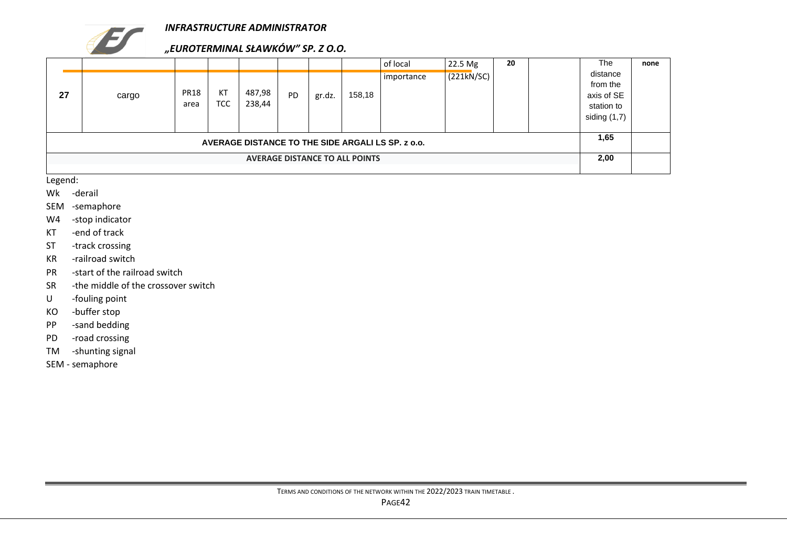

## *"EUROTERMINAL SŁAWKÓW" SP. Z O.O.*

|    |       |                     |                  |                  |           |        |                                       | of local                                          | $22.5$ Mg  | 20 | <b>The</b>                                                       | none |
|----|-------|---------------------|------------------|------------------|-----------|--------|---------------------------------------|---------------------------------------------------|------------|----|------------------------------------------------------------------|------|
| 27 | cargo | <b>PR18</b><br>area | KT<br><b>TCC</b> | 487,98<br>238,44 | <b>PD</b> | gr.dz. | 158,18                                | importance                                        | (221kN/SC) |    | distance<br>from the<br>axis of SE<br>station to<br>siding (1,7) |      |
|    |       |                     |                  |                  |           |        |                                       | AVERAGE DISTANCE TO THE SIDE ARGALI LS SP. z o.o. |            |    | 1,65                                                             |      |
|    |       |                     |                  |                  |           |        | <b>AVERAGE DISTANCE TO ALL POINTS</b> |                                                   |            |    | 2,00                                                             |      |

Legend:

- Wk -derail
- SEM -semaphore
- W4 -stop indicator
- KT -end of track
- ST -track crossing
- KR -railroad switch
- PR -start of the railroad switch
- SR -the middle of the crossover switch
- U -fouling point
- KO -buffer stop
- PP -sand bedding
- PD -road crossing
- TM -shunting signal
- SEM semaphore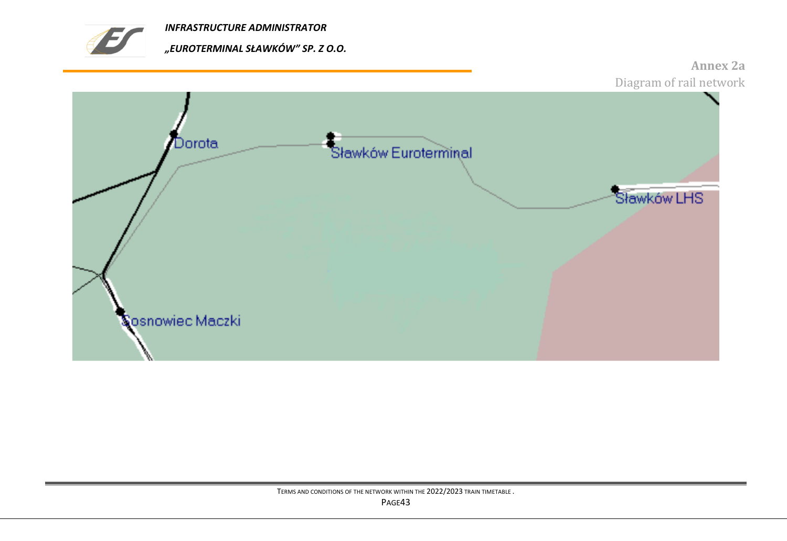



<span id="page-42-0"></span>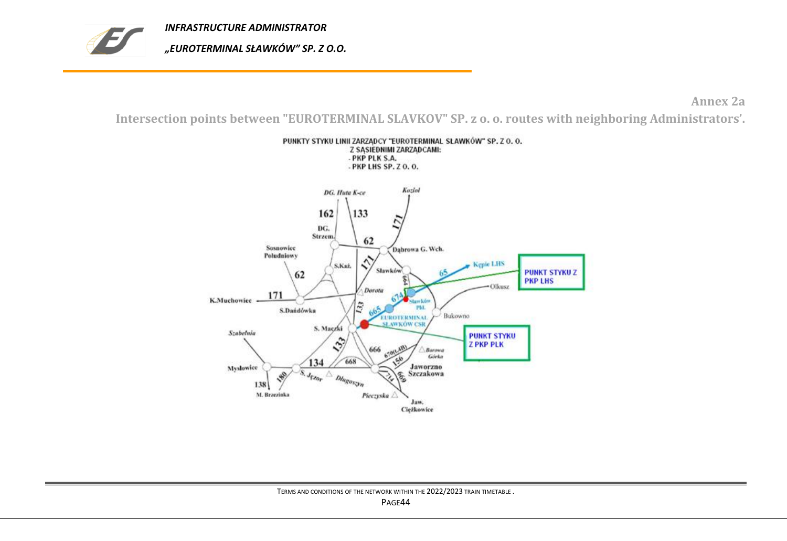

**Annex 2a**

<span id="page-43-0"></span>**Intersection points between "EUROTERMINAL SLAVKOV" SP. z o. o. routes with neighboring Administrators'.**

PUNKTY STYKU LINII ZARZĄDCY "EUROTERMINAL SLAWKÓW" SP. Z O. O.

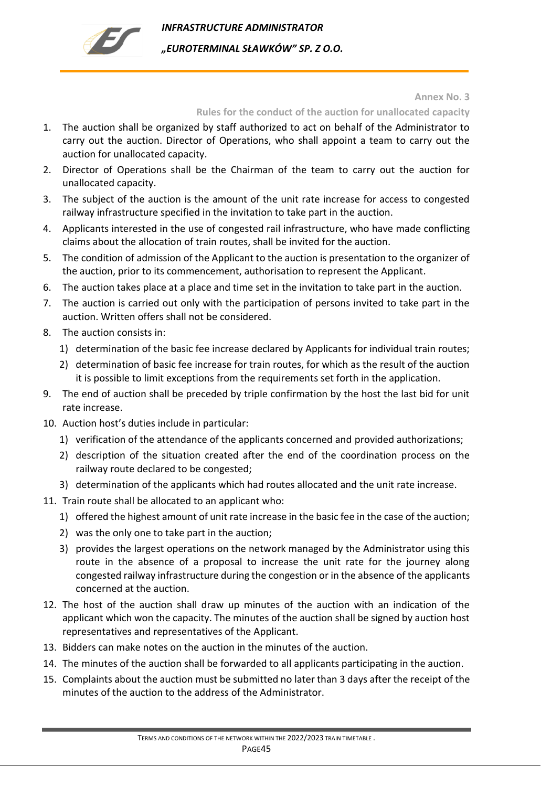

*INFRASTRUCTURE ADMINISTRATOR "EUROTERMINAL SŁAWKÓW" SP. Z O.O.* 

#### **Annex No. 3**

### **Rules for the conduct of the auction for unallocated capacity**

- <span id="page-44-0"></span>1. The auction shall be organized by staff authorized to act on behalf of the Administrator to carry out the auction. Director of Operations, who shall appoint a team to carry out the auction for unallocated capacity.
- 2. Director of Operations shall be the Chairman of the team to carry out the auction for unallocated capacity.
- 3. The subject of the auction is the amount of the unit rate increase for access to congested railway infrastructure specified in the invitation to take part in the auction.
- 4. Applicants interested in the use of congested rail infrastructure, who have made conflicting claims about the allocation of train routes, shall be invited for the auction.
- 5. The condition of admission of the Applicant to the auction is presentation to the organizer of the auction, prior to its commencement, authorisation to represent the Applicant.
- 6. The auction takes place at a place and time set in the invitation to take part in the auction.
- 7. The auction is carried out only with the participation of persons invited to take part in the auction. Written offers shall not be considered.
- 8. The auction consists in:
	- 1) determination of the basic fee increase declared by Applicants for individual train routes;
	- 2) determination of basic fee increase for train routes, for which as the result of the auction it is possible to limit exceptions from the requirements set forth in the application.
- 9. The end of auction shall be preceded by triple confirmation by the host the last bid for unit rate increase.
- 10. Auction host's duties include in particular:
	- 1) verification of the attendance of the applicants concerned and provided authorizations;
	- 2) description of the situation created after the end of the coordination process on the railway route declared to be congested;
	- 3) determination of the applicants which had routes allocated and the unit rate increase.
- 11. Train route shall be allocated to an applicant who:
	- 1) offered the highest amount of unit rate increase in the basic fee in the case of the auction;
	- 2) was the only one to take part in the auction;
	- 3) provides the largest operations on the network managed by the Administrator using this route in the absence of a proposal to increase the unit rate for the journey along congested railway infrastructure during the congestion or in the absence of the applicants concerned at the auction.
- 12. The host of the auction shall draw up minutes of the auction with an indication of the applicant which won the capacity. The minutes of the auction shall be signed by auction host representatives and representatives of the Applicant.
- 13. Bidders can make notes on the auction in the minutes of the auction.
- 14. The minutes of the auction shall be forwarded to all applicants participating in the auction.
- 15. Complaints about the auction must be submitted no later than 3 days after the receipt of the minutes of the auction to the address of the Administrator.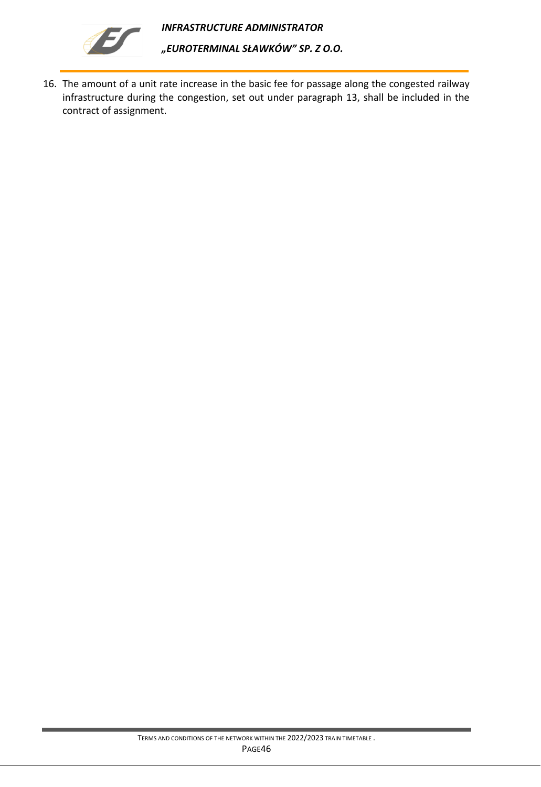

16. The amount of a unit rate increase in the basic fee for passage along the congested railway infrastructure during the congestion, set out under paragraph 13, shall be included in the contract of assignment.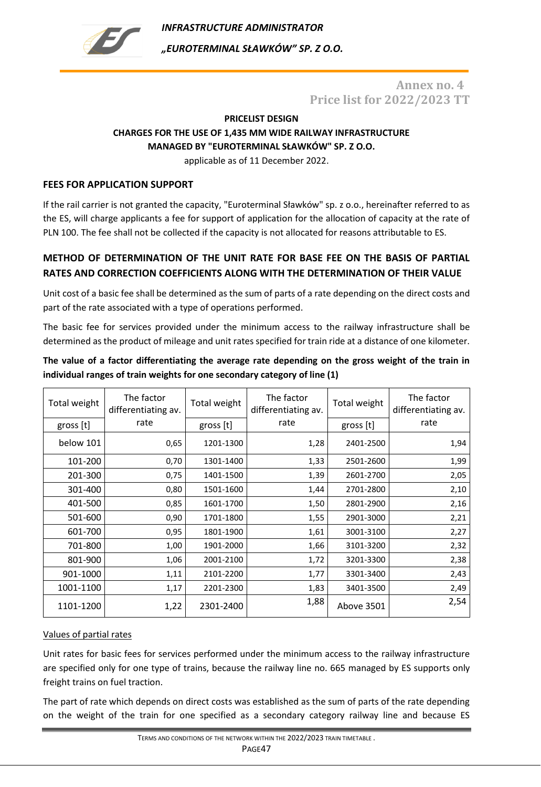<span id="page-46-0"></span>

*INFRASTRUCTURE ADMINISTRATOR "EUROTERMINAL SŁAWKÓW" SP. Z O.O.* 

## **Annex no. 4 Price list for 2022/2023 TT**

## **PRICELIST DESIGN CHARGES FOR THE USE OF 1,435 MM WIDE RAILWAY INFRASTRUCTURE MANAGED BY "EUROTERMINAL SŁAWKÓW" SP. Z O.O.**

applicable as of 11 December 2022.

### **FEES FOR APPLICATION SUPPORT**

If the rail carrier is not granted the capacity, "Euroterminal Sławków" sp. z o.o., hereinafter referred to as the ES, will charge applicants a fee for support of application for the allocation of capacity at the rate of PLN 100. The fee shall not be collected if the capacity is not allocated for reasons attributable to ES.

## **METHOD OF DETERMINATION OF THE UNIT RATE FOR BASE FEE ON THE BASIS OF PARTIAL RATES AND CORRECTION COEFFICIENTS ALONG WITH THE DETERMINATION OF THEIR VALUE**

Unit cost of a basic fee shall be determined as the sum of parts of a rate depending on the direct costs and part of the rate associated with a type of operations performed.

The basic fee for services provided under the minimum access to the railway infrastructure shall be determined as the product of mileage and unit rates specified for train ride at a distance of one kilometer.

### **The value of a factor differentiating the average rate depending on the gross weight of the train in individual ranges of train weights for one secondary category of line (1)**

| Total weight | The factor<br>differentiating av. | Total weight | The factor<br>differentiating av. | Total weight | The factor<br>differentiating av. |
|--------------|-----------------------------------|--------------|-----------------------------------|--------------|-----------------------------------|
| gross [t]    | rate                              | gross [t]    | rate                              | gross [t]    | rate                              |
| below 101    | 0,65                              | 1201-1300    | 1,28                              | 2401-2500    | 1,94                              |
| 101-200      | 0,70                              | 1301-1400    | 1,33                              | 2501-2600    | 1,99                              |
| 201-300      | 0,75                              | 1401-1500    | 1,39                              | 2601-2700    | 2,05                              |
| 301-400      | 0,80                              | 1501-1600    | 1,44                              | 2701-2800    | 2,10                              |
| 401-500      | 0,85                              | 1601-1700    | 1,50                              | 2801-2900    | 2,16                              |
| 501-600      | 0,90                              | 1701-1800    | 1,55                              | 2901-3000    | 2,21                              |
| 601-700      | 0,95                              | 1801-1900    | 1,61                              | 3001-3100    | 2,27                              |
| 701-800      | 1,00                              | 1901-2000    | 1,66                              | 3101-3200    | 2,32                              |
| 801-900      | 1,06                              | 2001-2100    | 1,72                              | 3201-3300    | 2,38                              |
| 901-1000     | 1,11                              | 2101-2200    | 1,77                              | 3301-3400    | 2,43                              |
| 1001-1100    | 1,17                              | 2201-2300    | 1,83                              | 3401-3500    | 2,49                              |
| 1101-1200    | 1,22                              | 2301-2400    | 1,88                              | Above 3501   | 2,54                              |

### Values of partial rates

Unit rates for basic fees for services performed under the minimum access to the railway infrastructure are specified only for one type of trains, because the railway line no. 665 managed by ES supports only freight trains on fuel traction.

The part of rate which depends on direct costs was established as the sum of parts of the rate depending on the weight of the train for one specified as a secondary category railway line and because ES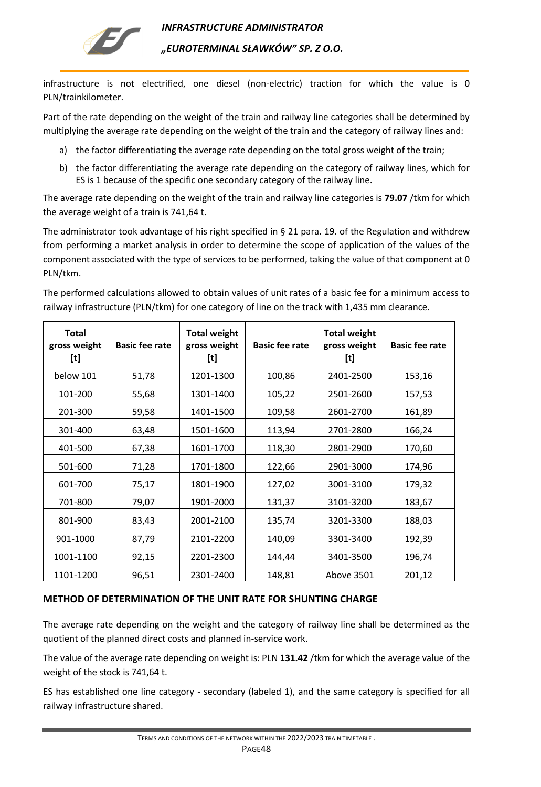

*"EUROTERMINAL SŁAWKÓW" SP. Z O.O.* 

infrastructure is not electrified, one diesel (non-electric) traction for which the value is 0 PLN/trainkilometer.

Part of the rate depending on the weight of the train and railway line categories shall be determined by multiplying the average rate depending on the weight of the train and the category of railway lines and:

- a) the factor differentiating the average rate depending on the total gross weight of the train;
- b) the factor differentiating the average rate depending on the category of railway lines, which for ES is 1 because of the specific one secondary category of the railway line.

The average rate depending on the weight of the train and railway line categories is **79.07** /tkm for which the average weight of a train is 741,64 t.

The administrator took advantage of his right specified in § 21 para. 19. of the Regulation and withdrew from performing a market analysis in order to determine the scope of application of the values of the component associated with the type of services to be performed, taking the value of that component at 0 PLN/tkm.

The performed calculations allowed to obtain values of unit rates of a basic fee for a minimum access to railway infrastructure (PLN/tkm) for one category of line on the track with 1,435 mm clearance.

| <b>Total</b><br>gross weight<br>[t] | <b>Basic fee rate</b> | <b>Total weight</b><br>gross weight<br>$[t] % \centering % {\includegraphics[width=0.9\textwidth]{figs-mitto1.pdf}} \caption{The figure shows the results of the estimators in the left hand side.} \label{fig:mitto1} %$ | <b>Basic fee rate</b> | <b>Total weight</b><br>gross weight<br>[t] | <b>Basic fee rate</b> |
|-------------------------------------|-----------------------|---------------------------------------------------------------------------------------------------------------------------------------------------------------------------------------------------------------------------|-----------------------|--------------------------------------------|-----------------------|
| below 101                           | 51,78                 | 1201-1300                                                                                                                                                                                                                 | 100,86                | 2401-2500                                  | 153,16                |
| 101-200                             | 55,68                 | 1301-1400                                                                                                                                                                                                                 | 105,22                | 2501-2600                                  | 157,53                |
| 201-300                             | 59,58                 | 1401-1500                                                                                                                                                                                                                 | 109,58                | 2601-2700                                  | 161,89                |
| 301-400                             | 63,48                 | 1501-1600                                                                                                                                                                                                                 | 113,94                | 2701-2800                                  | 166,24                |
| 401-500                             | 67,38                 | 1601-1700                                                                                                                                                                                                                 | 118,30                | 2801-2900                                  | 170,60                |
| 501-600                             | 71,28                 | 1701-1800                                                                                                                                                                                                                 | 122,66                | 2901-3000                                  | 174,96                |
| 601-700                             | 75,17                 | 1801-1900                                                                                                                                                                                                                 | 127,02                | 3001-3100                                  | 179,32                |
| 701-800                             | 79,07                 | 1901-2000                                                                                                                                                                                                                 | 131,37                | 3101-3200                                  | 183,67                |
| 801-900                             | 83,43                 | 2001-2100                                                                                                                                                                                                                 | 135,74                | 3201-3300                                  | 188,03                |
| 901-1000                            | 87,79                 | 2101-2200                                                                                                                                                                                                                 | 140,09                | 3301-3400                                  | 192,39                |
| 1001-1100                           | 92,15                 | 2201-2300                                                                                                                                                                                                                 | 144,44                | 3401-3500                                  | 196,74                |
| 1101-1200                           | 96,51                 | 2301-2400                                                                                                                                                                                                                 | 148,81                | Above 3501                                 | 201,12                |

### **METHOD OF DETERMINATION OF THE UNIT RATE FOR SHUNTING CHARGE**

The average rate depending on the weight and the category of railway line shall be determined as the quotient of the planned direct costs and planned in-service work.

The value of the average rate depending on weight is: PLN **131.42** /tkm for which the average value of the weight of the stock is 741,64 t.

ES has established one line category - secondary (labeled 1), and the same category is specified for all railway infrastructure shared.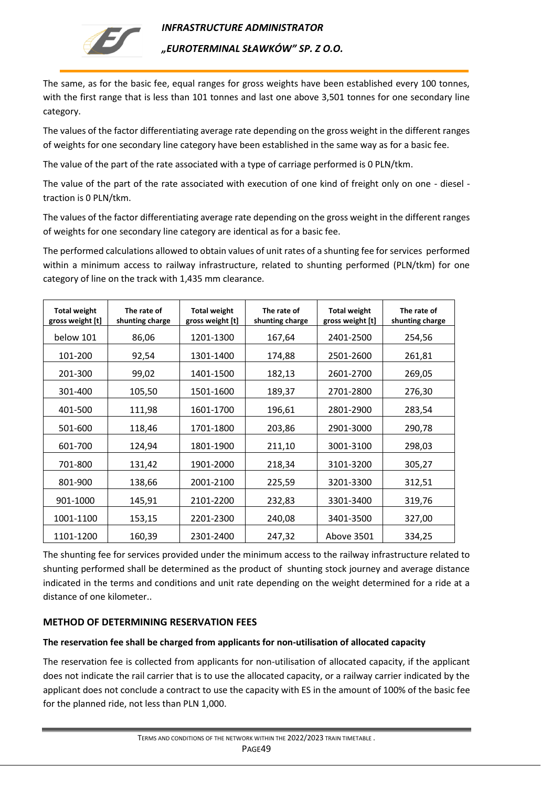

*"EUROTERMINAL SŁAWKÓW" SP. Z O.O.* 

The same, as for the basic fee, equal ranges for gross weights have been established every 100 tonnes, with the first range that is less than 101 tonnes and last one above 3,501 tonnes for one secondary line category.

The values of the factor differentiating average rate depending on the gross weight in the different ranges of weights for one secondary line category have been established in the same way as for a basic fee.

The value of the part of the rate associated with a type of carriage performed is 0 PLN/tkm.

The value of the part of the rate associated with execution of one kind of freight only on one - diesel traction is 0 PLN/tkm.

The values of the factor differentiating average rate depending on the gross weight in the different ranges of weights for one secondary line category are identical as for a basic fee.

The performed calculations allowed to obtain values of unit rates of a shunting fee for services performed within a minimum access to railway infrastructure, related to shunting performed (PLN/tkm) for one category of line on the track with 1,435 mm clearance.

| <b>Total weight</b><br>gross weight [t] | The rate of<br>shunting charge | <b>Total weight</b><br>gross weight [t] | The rate of<br>shunting charge | <b>Total weight</b><br>gross weight [t] | The rate of<br>shunting charge |
|-----------------------------------------|--------------------------------|-----------------------------------------|--------------------------------|-----------------------------------------|--------------------------------|
| below 101                               | 86,06                          | 1201-1300                               | 167,64                         | 2401-2500                               | 254,56                         |
| 101-200                                 | 92,54                          | 1301-1400                               | 174,88                         | 2501-2600                               | 261,81                         |
| 201-300                                 | 99,02                          | 1401-1500                               | 182,13                         | 2601-2700                               | 269,05                         |
| 301-400                                 | 105,50                         | 1501-1600                               | 189,37                         | 2701-2800                               | 276,30                         |
| 401-500                                 | 111,98                         | 1601-1700                               | 196,61                         | 2801-2900                               | 283,54                         |
| 501-600                                 | 118,46                         | 1701-1800                               | 203,86                         | 2901-3000                               | 290,78                         |
| 601-700                                 | 124,94                         | 1801-1900                               | 211,10                         | 3001-3100                               | 298,03                         |
| 701-800                                 | 131,42                         | 1901-2000                               | 218,34                         | 3101-3200                               | 305,27                         |
| 801-900                                 | 138,66                         | 2001-2100                               | 225,59                         | 3201-3300                               | 312,51                         |
| 901-1000                                | 145,91                         | 2101-2200                               | 232,83                         | 3301-3400                               | 319,76                         |
| 1001-1100                               | 153,15                         | 2201-2300                               | 240,08                         | 3401-3500                               | 327,00                         |
| 1101-1200                               | 160,39                         | 2301-2400                               | 247,32                         | Above 3501                              | 334,25                         |

The shunting fee for services provided under the minimum access to the railway infrastructure related to shunting performed shall be determined as the product of shunting stock journey and average distance indicated in the terms and conditions and unit rate depending on the weight determined for a ride at a distance of one kilometer..

## **METHOD OF DETERMINING RESERVATION FEES**

### **The reservation fee shall be charged from applicants for non-utilisation of allocated capacity**

The reservation fee is collected from applicants for non-utilisation of allocated capacity, if the applicant does not indicate the rail carrier that is to use the allocated capacity, or a railway carrier indicated by the applicant does not conclude a contract to use the capacity with ES in the amount of 100% of the basic fee for the planned ride, not less than PLN 1,000.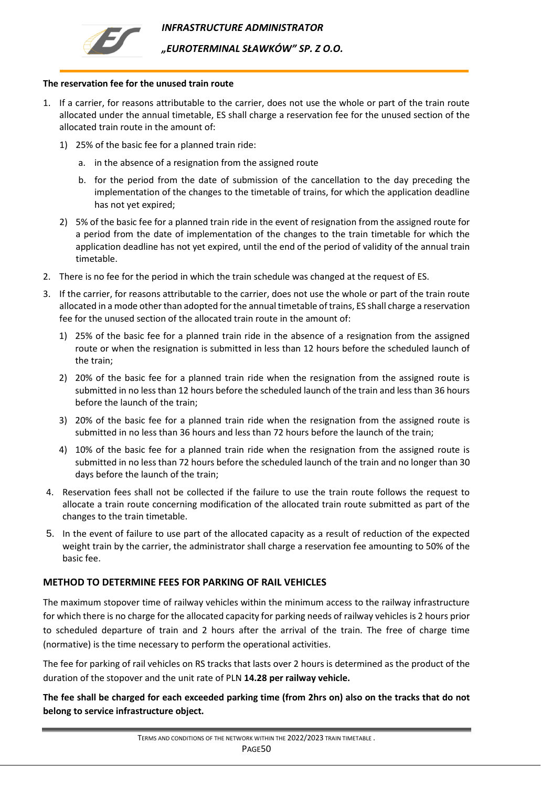



*"EUROTERMINAL SŁAWKÓW" SP. Z O.O.* 

#### **The reservation fee for the unused train route**

- 1. If a carrier, for reasons attributable to the carrier, does not use the whole or part of the train route allocated under the annual timetable, ES shall charge a reservation fee for the unused section of the allocated train route in the amount of:
	- 1) 25% of the basic fee for a planned train ride:
		- a. in the absence of a resignation from the assigned route
		- b. for the period from the date of submission of the cancellation to the day preceding the implementation of the changes to the timetable of trains, for which the application deadline has not yet expired;
	- 2) 5% of the basic fee for a planned train ride in the event of resignation from the assigned route for a period from the date of implementation of the changes to the train timetable for which the application deadline has not yet expired, until the end of the period of validity of the annual train timetable.
- 2. There is no fee for the period in which the train schedule was changed at the request of ES.
- 3. If the carrier, for reasons attributable to the carrier, does not use the whole or part of the train route allocated in a mode other than adopted for the annual timetable of trains, ES shall charge a reservation fee for the unused section of the allocated train route in the amount of:
	- 1) 25% of the basic fee for a planned train ride in the absence of a resignation from the assigned route or when the resignation is submitted in less than 12 hours before the scheduled launch of the train;
	- 2) 20% of the basic fee for a planned train ride when the resignation from the assigned route is submitted in no less than 12 hours before the scheduled launch of the train and less than 36 hours before the launch of the train;
	- 3) 20% of the basic fee for a planned train ride when the resignation from the assigned route is submitted in no less than 36 hours and less than 72 hours before the launch of the train;
	- 4) 10% of the basic fee for a planned train ride when the resignation from the assigned route is submitted in no less than 72 hours before the scheduled launch of the train and no longer than 30 days before the launch of the train;
- 4. Reservation fees shall not be collected if the failure to use the train route follows the request to allocate a train route concerning modification of the allocated train route submitted as part of the changes to the train timetable.
- 5. In the event of failure to use part of the allocated capacity as a result of reduction of the expected weight train by the carrier, the administrator shall charge a reservation fee amounting to 50% of the basic fee.

#### **METHOD TO DETERMINE FEES FOR PARKING OF RAIL VEHICLES**

The maximum stopover time of railway vehicles within the minimum access to the railway infrastructure for which there is no charge for the allocated capacity for parking needs of railway vehicles is 2 hours prior to scheduled departure of train and 2 hours after the arrival of the train. The free of charge time (normative) is the time necessary to perform the operational activities.

The fee for parking of rail vehicles on RS tracks that lasts over 2 hours is determined as the product of the duration of the stopover and the unit rate of PLN **14.28 per railway vehicle.**

**The fee shall be charged for each exceeded parking time (from 2hrs on) also on the tracks that do not belong to service infrastructure object.**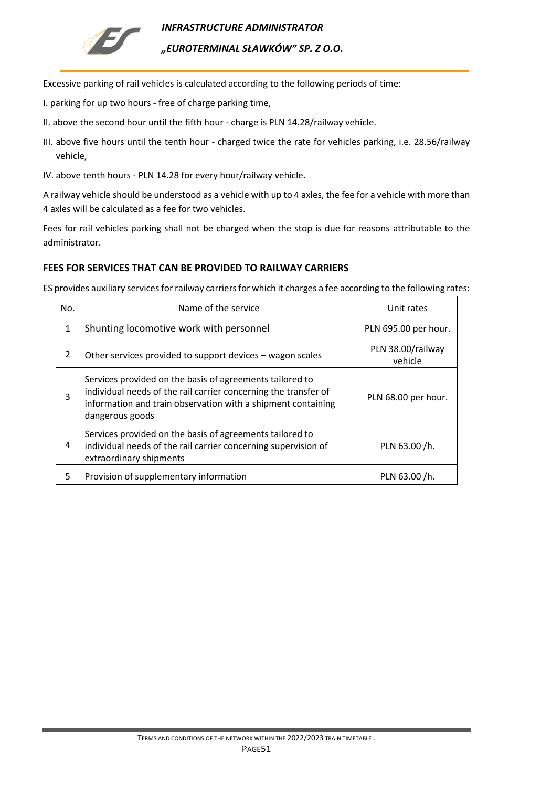

*INFRASTRUCTURE ADMINISTRATOR "EUROTERMINAL SŁAWKÓW" SP. Z O.O.* 

Excessive parking of rail vehicles is calculated according to the following periods of time:

- I. parking for up two hours free of charge parking time,
- II. above the second hour until the fifth hour charge is PLN 14.28/railway vehicle.
- III. above five hours until the tenth hour charged twice the rate for vehicles parking, i.e. 28.56/railway vehicle,
- IV. above tenth hours PLN 14.28 for every hour/railway vehicle.

A railway vehicle should be understood as a vehicle with up to 4 axles, the fee for a vehicle with more than 4 axles will be calculated as a fee for two vehicles.

Fees for rail vehicles parking shall not be charged when the stop is due for reasons attributable to the administrator.

### **FEES FOR SERVICES THAT CAN BE PROVIDED TO RAILWAY CARRIERS**

ES provides auxiliary services for railway carriers for which it charges a fee according to the following rates:

| No. | Name of the service                                                                                                                                                                                            | Unit rates                   |
|-----|----------------------------------------------------------------------------------------------------------------------------------------------------------------------------------------------------------------|------------------------------|
| 1   | Shunting locomotive work with personnel                                                                                                                                                                        | PLN 695.00 per hour.         |
| 2   | Other services provided to support devices - wagon scales                                                                                                                                                      | PLN 38.00/railway<br>vehicle |
| 3   | Services provided on the basis of agreements tailored to<br>individual needs of the rail carrier concerning the transfer of<br>information and train observation with a shipment containing<br>dangerous goods | PLN 68.00 per hour.          |
| 4   | Services provided on the basis of agreements tailored to<br>individual needs of the rail carrier concerning supervision of<br>extraordinary shipments                                                          | PLN 63.00 /h.                |
| 5   | Provision of supplementary information                                                                                                                                                                         | PLN 63.00 /h.                |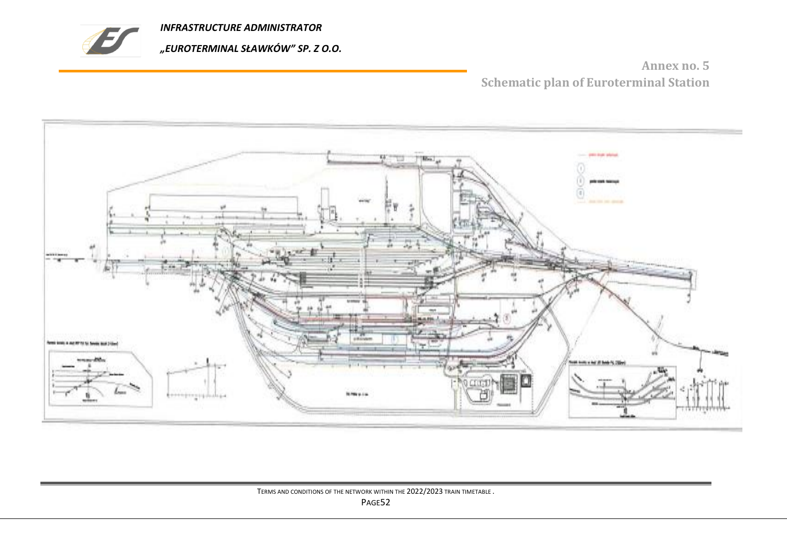

**Annex no. 5 Schematic plan of Euroterminal Station**

<span id="page-51-0"></span>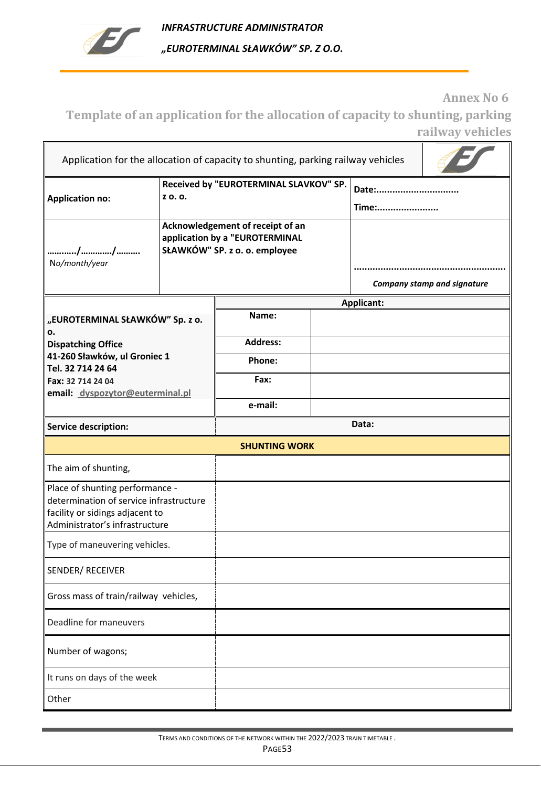

**Annex No 6**

<span id="page-52-0"></span>**Template of an application for the allocation of capacity to shunting, parking railway vehicles**

| Application for the allocation of capacity to shunting, parking railway vehicles                                                                |                                                                                                     |                   |  |                                    |  |  |
|-------------------------------------------------------------------------------------------------------------------------------------------------|-----------------------------------------------------------------------------------------------------|-------------------|--|------------------------------------|--|--|
| <b>Application no:</b>                                                                                                                          | Received by "EUROTERMINAL SLAVKOV" SP.<br>Z O.O.                                                    |                   |  | Date:<br>Time:                     |  |  |
| No/month/year                                                                                                                                   | Acknowledgement of receipt of an<br>application by a "EUROTERMINAL<br>SŁAWKÓW" SP. z o. o. employee |                   |  | <b>Company stamp and signature</b> |  |  |
|                                                                                                                                                 |                                                                                                     | <b>Applicant:</b> |  |                                    |  |  |
| "EUROTERMINAL SŁAWKÓW" Sp. z o.<br>ο.                                                                                                           |                                                                                                     | Name:             |  |                                    |  |  |
| <b>Dispatching Office</b>                                                                                                                       |                                                                                                     | <b>Address:</b>   |  |                                    |  |  |
| 41-260 Sławków, ul Groniec 1<br>Tel. 32 714 24 64                                                                                               |                                                                                                     | Phone:            |  |                                    |  |  |
| Fax: 32 714 24 04<br>email: dyspozytor@euterminal.pl                                                                                            |                                                                                                     | Fax:              |  |                                    |  |  |
|                                                                                                                                                 |                                                                                                     | e-mail:           |  |                                    |  |  |
| <b>Service description:</b>                                                                                                                     |                                                                                                     |                   |  | Data:                              |  |  |
|                                                                                                                                                 | <b>SHUNTING WORK</b>                                                                                |                   |  |                                    |  |  |
| The aim of shunting,                                                                                                                            |                                                                                                     |                   |  |                                    |  |  |
| Place of shunting performance -<br>determination of service infrastructure<br>facility or sidings adjacent to<br>Administrator's infrastructure |                                                                                                     |                   |  |                                    |  |  |
| Type of maneuvering vehicles.                                                                                                                   |                                                                                                     |                   |  |                                    |  |  |
| SENDER/ RECEIVER                                                                                                                                |                                                                                                     |                   |  |                                    |  |  |
| Gross mass of train/railway vehicles,                                                                                                           |                                                                                                     |                   |  |                                    |  |  |
| Deadline for maneuvers                                                                                                                          |                                                                                                     |                   |  |                                    |  |  |
| Number of wagons;                                                                                                                               |                                                                                                     |                   |  |                                    |  |  |
| It runs on days of the week                                                                                                                     |                                                                                                     |                   |  |                                    |  |  |
| Other                                                                                                                                           |                                                                                                     |                   |  |                                    |  |  |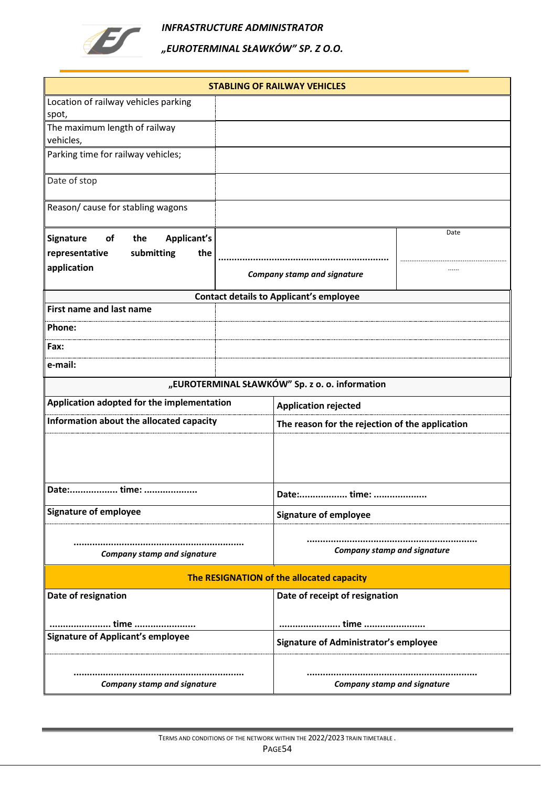

|                                            |  | <b>STABLING OF RAILWAY VEHICLES</b>             |      |  |  |
|--------------------------------------------|--|-------------------------------------------------|------|--|--|
| Location of railway vehicles parking       |  |                                                 |      |  |  |
| spot,                                      |  |                                                 |      |  |  |
| The maximum length of railway              |  |                                                 |      |  |  |
| vehicles,                                  |  |                                                 |      |  |  |
| Parking time for railway vehicles;         |  |                                                 |      |  |  |
| Date of stop                               |  |                                                 |      |  |  |
| Reason/ cause for stabling wagons          |  |                                                 |      |  |  |
| Applicant's<br>Signature<br>of<br>the      |  |                                                 | Date |  |  |
| submitting<br>the<br>representative        |  |                                                 |      |  |  |
| application                                |  | <b>Company stamp and signature</b>              |      |  |  |
|                                            |  | <b>Contact details to Applicant's employee</b>  |      |  |  |
| <b>First name and last name</b>            |  |                                                 |      |  |  |
| Phone:                                     |  |                                                 |      |  |  |
| Fax:                                       |  |                                                 |      |  |  |
| e-mail:                                    |  |                                                 |      |  |  |
|                                            |  | "EUROTERMINAL SŁAWKÓW" Sp. z o. o. information  |      |  |  |
| Application adopted for the implementation |  | <b>Application rejected</b>                     |      |  |  |
| Information about the allocated capacity   |  | The reason for the rejection of the application |      |  |  |
|                                            |  |                                                 |      |  |  |
| Date: time:                                |  | Date: time:                                     |      |  |  |
| <b>Signature of employee</b>               |  | <b>Signature of employee</b>                    |      |  |  |
| <b>Company stamp and signature</b>         |  | <b>Company stamp and signature</b>              |      |  |  |
| The RESIGNATION of the allocated capacity  |  |                                                 |      |  |  |
| Date of resignation                        |  | Date of receipt of resignation                  |      |  |  |
| time                                       |  | time                                            |      |  |  |
| <b>Signature of Applicant's employee</b>   |  | Signature of Administrator's employee           |      |  |  |
| <b>Company stamp and signature</b>         |  | <b>Company stamp and signature</b>              |      |  |  |